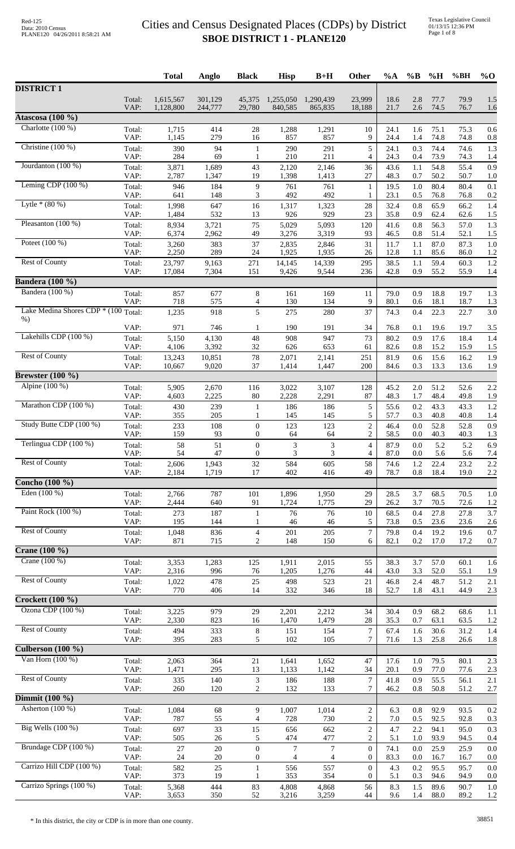|                                                 |                | <b>Total</b>           | Anglo              | <b>Black</b>                     | <b>Hisp</b>          | $B+H$                | Other                            | $\%A$        | $\%$ B         | %H           | %BH          | $\%$ O     |
|-------------------------------------------------|----------------|------------------------|--------------------|----------------------------------|----------------------|----------------------|----------------------------------|--------------|----------------|--------------|--------------|------------|
| <b>DISTRICT 1</b>                               |                |                        |                    |                                  |                      |                      |                                  |              |                |              |              |            |
|                                                 | Total:<br>VAP: | 1,615,567<br>1,128,800 | 301,129<br>244,777 | 45,375<br>29,780                 | 1,255,050<br>840,585 | 1,290,439<br>865,835 | 23,999<br>18,188                 | 18.6<br>21.7 | 2.8<br>2.6     | 77.7<br>74.5 | 79.9<br>76.7 | 1.5<br>1.6 |
| Atascosa (100 %)                                |                |                        |                    |                                  |                      |                      |                                  |              |                |              |              |            |
| Charlotte $(100\%)$                             | Total:         | 1,715                  | 414                | $28\,$                           | 1,288                | 1,291                | 10                               | 24.1         | 1.6            | 75.1         | 75.3         | 0.6        |
| Christine (100 %)                               | VAP:           | 1,145                  | 279                | 16                               | 857                  | 857                  | 9                                | 24.4         | 1.4            | 74.8         | 74.8         | 0.8        |
|                                                 | Total:<br>VAP: | 390<br>284             | 94<br>69           | $\mathbf{1}$<br>$\mathbf{1}$     | 290<br>210           | 291<br>211           | 5<br>$\overline{4}$              | 24.1<br>24.3 | 0.3<br>0.4     | 74.4<br>73.9 | 74.6<br>74.3 | 1.3<br>1.4 |
| Jourdanton (100 %)                              | Total:         | 3,871                  | 1,689              | 43                               | 2,120                | 2,146                | 36                               | 43.6         | 1.1            | 54.8         | 55.4         | 0.9        |
| Leming CDP $(100\%)$                            | VAP:<br>Total: | 2,787<br>946           | 1,347<br>184       | 19<br>$\overline{9}$             | 1,398<br>761         | 1,413<br>761         | 27<br>$\mathbf{1}$               | 48.3<br>19.5 | 0.7<br>1.0     | 50.2<br>80.4 | 50.7<br>80.4 | 1.0<br>0.1 |
|                                                 | VAP:           | 641                    | 148                | 3                                | 492                  | 492                  | 1                                | 23.1         | 0.5            | 76.8         | 76.8         | 0.2        |
| Lytle $*(80\%)$                                 | Total:         | 1,998                  | 647                | 16                               | 1,317                | 1,323                | 28                               | 32.4         | 0.8            | 65.9         | 66.2         | 1.4        |
| Pleasanton $(100\%)$                            | VAP:<br>Total: | 1,484<br>8,934         | 532<br>3,721       | 13<br>75                         | 926<br>5,029         | 929<br>5,093         | 23<br>120                        | 35.8<br>41.6 | 0.9<br>$0.8\,$ | 62.4<br>56.3 | 62.6<br>57.0 | 1.5<br>1.3 |
|                                                 | VAP:           | 6,374                  | 2,962              | 49                               | 3,276                | 3,319                | 93                               | 46.5         | $0.8\,$        | 51.4         | 52.1         | 1.5        |
| Poteet $(100\%)$                                | Total:<br>VAP: | 3,260<br>2,250         | 383<br>289         | 37<br>24                         | 2,835<br>1,925       | 2,846<br>1,935       | 31<br>26                         | 11.7<br>12.8 | 1.1<br>1.1     | 87.0<br>85.6 | 87.3<br>86.0 | 1.0<br>1.2 |
| <b>Rest of County</b>                           | Total:         | 23,797                 | 9,163              | 271                              | 14,145               | 14,339               | 295                              | 38.5         | 1.1            | 59.4         | 60.3         | 1.2        |
|                                                 | VAP:           | 17,084                 | 7,304              | 151                              | 9,426                | 9,544                | 236                              | 42.8         | 0.9            | 55.2         | 55.9         | 1.4        |
| <b>Bandera</b> (100 %)<br>Bandera (100 %)       |                |                        |                    |                                  |                      |                      |                                  |              |                |              |              |            |
|                                                 | Total:<br>VAP: | 857<br>718             | 677<br>575         | 8<br>4                           | 161<br>130           | 169<br>134           | 11<br>9                          | 79.0<br>80.1 | 0.9<br>0.6     | 18.8<br>18.1 | 19.7<br>18.7 | 1.3<br>1.3 |
| Lake Medina Shores CDP <sup>*</sup> (100 Total: |                | 1,235                  | 918                | 5                                | 275                  | 280                  | 37                               | 74.3         | 0.4            | 22.3         | 22.7         | 3.0        |
| $%$ )                                           | VAP:           | 971                    | 746                | 1                                | 190                  | 191                  | 34                               | 76.8         | 0.1            | 19.6         | 19.7         | 3.5        |
| Lakehills CDP (100 %)                           | Total:         | 5,150                  | 4,130              | 48                               | 908                  | 947                  | 73                               | 80.2         | 0.9            | 17.6         | 18.4         | 1.4        |
| <b>Rest of County</b>                           | VAP:<br>Total: | 4,106<br>13,243        | 3,392<br>10,851    | $32\,$<br>$78\,$                 | 626<br>2,071         | 653<br>2,141         | 61<br>251                        | 82.6<br>81.9 | 0.8<br>0.6     | 15.2<br>15.6 | 15.9<br>16.2 | 1.5<br>1.9 |
|                                                 | VAP:           | 10,667                 | 9,020              | 37                               | 1,414                | 1,447                | 200                              | 84.6         | 0.3            | 13.3         | 13.6         | 1.9        |
| <b>Brewster</b> (100 %)                         |                |                        |                    |                                  |                      |                      |                                  |              |                |              |              |            |
| Alpine (100 %)                                  | Total:<br>VAP: | 5,905<br>4,603         | 2,670<br>2,225     | 116<br>80                        | 3,022<br>2,228       | 3,107<br>2,291       | 128<br>87                        | 45.2<br>48.3 | $2.0\,$<br>1.7 | 51.2<br>48.4 | 52.6<br>49.8 | 2.2<br>1.9 |
| Marathon CDP (100 %)                            | Total:         | 430                    | 239                | 1                                | 186                  | 186                  | 5                                | 55.6         | 0.2            | 43.3         | 43.3         | 1.2        |
|                                                 | VAP:           | 355                    | 205                | 1                                | 145                  | 145                  | 5                                | 57.7         | 0.3            | 40.8         | 40.8         | 1.4        |
| Study Butte CDP (100 %)                         | Total:<br>VAP: | 233<br>159             | 108<br>93          | $\mathbf{0}$<br>$\boldsymbol{0}$ | 123<br>64            | 123<br>64            | $\sqrt{2}$<br>$\overline{c}$     | 46.4<br>58.5 | $0.0\,$<br>0.0 | 52.8<br>40.3 | 52.8<br>40.3 | 0.9<br>1.3 |
| Terlingua CDP (100 %)                           | Total:         | 58                     | 51                 | $\boldsymbol{0}$                 | 3                    | 3                    | $\overline{4}$                   | 87.9         | 0.0            | 5.2          | 5.2          | 6.9        |
| <b>Rest of County</b>                           | VAP:           | 54                     | 47                 | $\mathbf{0}$                     | 3                    | 3                    | 4                                | 87.0         | 0.0            | 5.6          | 5.6          | 7.4        |
|                                                 | Total:<br>VAP: | 2,606<br>2,184         | 1,943<br>1,719     | 32<br>17                         | 584<br>402           | 605<br>416           | 58<br>49                         | 74.6<br>78.7 | 1.2<br>0.8     | 22.4<br>18.4 | 23.2<br>19.0 | 2.2<br>2.2 |
| Concho (100 %)                                  |                |                        |                    |                                  |                      |                      |                                  |              |                |              |              |            |
| Eden (100 %)                                    | Total:         | 2,766                  | 787                | 101<br>91                        | 1,896                | 1,950                | 29                               | 28.5         | 3.7            | 68.5         | 70.5         | 1.0        |
| Paint Rock (100 %)                              | VAP:<br>Total: | 2,444<br>273           | 640<br>187         | $\mathbf{1}$                     | 1,724<br>76          | 1,775<br>76          | 29<br>10                         | 26.2<br>68.5 | 3.7<br>0.4     | 70.5<br>27.8 | 72.6<br>27.8 | 1.2<br>3.7 |
|                                                 | VAP:           | 195                    | 144                |                                  | 46                   | 46                   | 5                                | 73.8         | 0.5            | 23.6         | 23.6         | 2.6        |
| <b>Rest of County</b>                           | Total:<br>VAP: | 1,048<br>871           | 836<br>715         | $\overline{4}$<br>2              | 201<br>148           | 205<br>150           | $\tau$<br>6                      | 79.8<br>82.1 | 0.4<br>0.2     | 19.2<br>17.0 | 19.6<br>17.2 | 0.7<br>0.7 |
| <b>Crane</b> (100 %)                            |                |                        |                    |                                  |                      |                      |                                  |              |                |              |              |            |
| Crane (100 %)                                   | Total:         | 3,353                  | 1,283              | 125                              | 1,911                | 2,015                | 55                               | 38.3         | 3.7            | 57.0         | 60.1         | 1.6        |
| <b>Rest of County</b>                           | VAP:<br>Total: | 2,316<br>1,022         | 996<br>478         | 76<br>25                         | 1,205<br>498         | 1,276<br>523         | 44<br>21                         | 43.0<br>46.8 | 3.3<br>2.4     | 52.0<br>48.7 | 55.1<br>51.2 | 1.9<br>2.1 |
|                                                 | VAP:           | 770                    | 406                | 14                               | 332                  | 346                  | 18                               | 52.7         | 1.8            | 43.1         | 44.9         | 2.3        |
| <b>Crockett (100 %)</b>                         |                |                        |                    |                                  |                      |                      |                                  |              |                |              |              |            |
| Ozona CDP (100 %)                               | Total:<br>VAP: | 3,225<br>2,330         | 979<br>823         | 29<br>16                         | 2,201<br>1,470       | 2,212<br>1,479       | 34<br>28                         | 30.4<br>35.3 | 0.9<br>0.7     | 68.2<br>63.1 | 68.6<br>63.5 | 1.1<br>1.2 |
| <b>Rest of County</b>                           | Total:         | 494                    | 333                | $\,8$                            | 151                  | 154                  | $\boldsymbol{7}$                 | 67.4         | 1.6            | 30.6         | 31.2         | 1.4        |
|                                                 | VAP:           | 395                    | 283                | 5                                | 102                  | 105                  | $\tau$                           | 71.6         | 1.3            | 25.8         | 26.6         | 1.8        |
| Culberson $(100\%)$<br>Van Horn $(100\%)$       | Total:         | 2,063                  | 364                | 21                               | 1,641                | 1,652                | 47                               | 17.6         | 1.0            | 79.5         | 80.1         | 2.3        |
|                                                 | VAP:           | 1,471                  | 295                | 13                               | 1,133                | 1,142                | 34                               | 20.1         | 0.9            | 77.0         | 77.6         | 2.3        |
| <b>Rest of County</b>                           | Total:         | 335                    | 140                | $\ensuremath{\mathfrak{Z}}$      | 186                  | 188                  | $\tau$                           | 41.8         | 0.9            | 55.5         | 56.1         | 2.1        |
| Dimmit (100 %)                                  | VAP:           | 260                    | 120                | 2                                | 132                  | 133                  | $\tau$                           | 46.2         | 0.8            | 50.8         | 51.2         | 2.7        |
| Asherton (100 %)                                | Total:         | 1,084                  | 68                 | 9                                | 1,007                | 1,014                | $\overline{c}$                   | 6.3          | 0.8            | 92.9         | 93.5         | 0.2        |
| Big Wells $(100\%)$                             | VAP:           | 787                    | 55                 | 4                                | 728                  | 730                  | $\sqrt{2}$                       | 7.0          | 0.5            | 92.5         | 92.8         | 0.3        |
|                                                 | Total:<br>VAP: | 697<br>505             | 33<br>$26\,$       | 15<br>5                          | 656<br>474           | 662<br>477           | $\overline{c}$<br>$\overline{c}$ | 4.7<br>5.1   | 2.2<br>1.0     | 94.1<br>93.9 | 95.0<br>94.5 | 0.3<br>0.4 |
| Brundage CDP (100 %)                            | Total:         | 27                     | $20\,$             | $\theta$                         | $\boldsymbol{7}$     | $\tau$               | $\overline{0}$                   | 74.1         | 0.0            | 25.9         | 25.9         | 0.0        |
| Carrizo Hill CDP (100 %)                        | VAP:           | $24\,$                 | $20\,$             | $\boldsymbol{0}$                 | 4                    | 4                    | $\mathbf{0}$                     | 83.3         | 0.0            | 16.7         | 16.7         | 0.0        |
|                                                 | Total:<br>VAP: | 582<br>373             | 25<br>19           | $\mathbf{1}$<br>1                | 556<br>353           | 557<br>354           | $\overline{0}$<br>$\mathbf{0}$   | 4.3<br>5.1   | 0.2<br>0.3     | 95.5<br>94.6 | 95.7<br>94.9 | 0.0<br>0.0 |
| Carrizo Springs (100 %)                         | Total:         | 5,368                  | 444                | 83                               | 4,808                | 4,868                | 56                               | 8.3          | 1.5            | 89.6         | 90.7         | 1.0        |
|                                                 | VAP:           | 3,653                  | 350                | $52\,$                           | 3,216                | 3,259                | 44                               | 9.6          | 1.4            | 88.0         | 89.2         | 1.2        |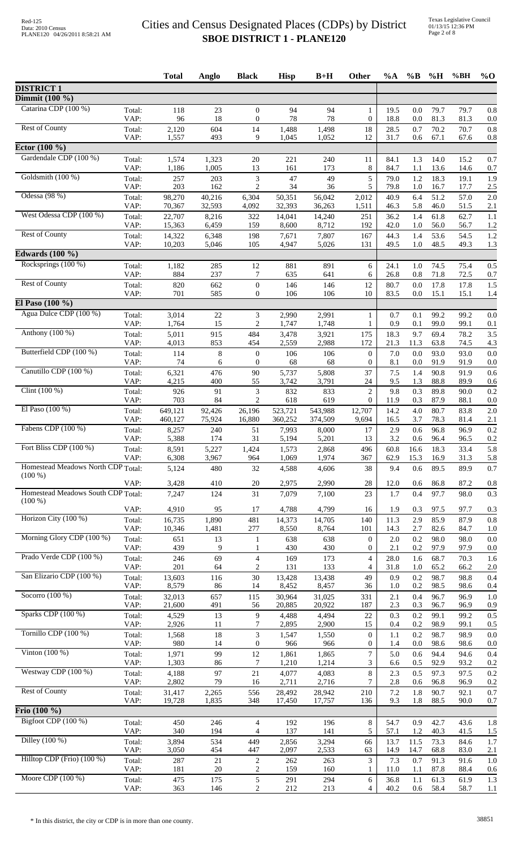| <b>DISTRICT 1</b><br>Dimmit (100 %)<br>Catarina CDP (100 %)<br>Total:<br>118<br>23<br>$\boldsymbol{0}$<br>94<br>94<br>19.5<br>0.0<br>79.7<br>79.7<br>1<br>0.8<br>81.3<br>VAP:<br>96<br>18<br>78<br>78<br>18.8<br>81.3<br>$\boldsymbol{0}$<br>0<br>0.0<br>0.0<br><b>Rest of County</b><br>604<br>18<br>0.7<br>70.2<br>2,120<br>14<br>1,488<br>1,498<br>28.5<br>70.7<br>0.8<br>Total:<br>VAP:<br>1,557<br>493<br>9<br>1,052<br>12<br>1,045<br>31.7<br>0.6<br>67.1<br>67.6<br>0.8<br>Ector (100 %)<br>Gardendale CDP (100 %)<br>1.3<br>1,574<br>1,323<br>20<br>221<br>240<br>14.0<br>15.2<br>0.7<br>Total:<br>11<br>84.1<br>VAP:<br>1,186<br>1,005<br>13<br>8<br>161<br>173<br>84.7<br>1.1<br>13.6<br>14.6<br>0.7<br>Goldsmith (100 %)<br>203<br>3<br>47<br>49<br>5<br>1.2<br>18.3<br>1.9<br>Total:<br>257<br>79.0<br>19.1<br>VAP:<br>203<br>162<br>$\overline{2}$<br>34<br>5<br>36<br>79.8<br>1.0<br>16.7<br>17.7<br>2.5<br>Odessa (98 %)<br>98,270<br>51.2<br>2.0<br>40,216<br>6,304<br>50,351<br>56,042<br>2,012<br>40.9<br>6.4<br>57.0<br>Total:<br>32,593<br>36,263<br>5.8<br>VAP:<br>70,367<br>4,092<br>32,393<br>1,511<br>46.3<br>46.0<br>51.5<br>2.1<br>West Odessa CDP (100 %)<br>61.8<br>Total:<br>22,707<br>8,216<br>322<br>14,041<br>14,240<br>1.4<br>62.7<br>1.1<br>251<br>36.2<br>6,459<br>159<br>8,600<br>8,712<br>42.0<br>1.0<br>56.0<br>56.7<br>VAP:<br>15,363<br>192<br>1.2<br><b>Rest of County</b><br>53.6<br>7,807<br>44.3<br>1.4<br>54.5<br>1.2<br>Total:<br>14,322<br>6,348<br>198<br>7,671<br>167<br>48.5<br>1.3<br>VAP:<br>10,203<br>5,046<br>105<br>49.5<br>1.0<br>49.3<br>4,947<br>5,026<br>131<br><b>Edwards</b> (100 %)<br>Rocksprings (100 %)<br>1,182<br>285<br>12<br>74.5<br>Total:<br>881<br>891<br>6<br>24.1<br>1.0<br>75.4<br>0.5<br>VAP:<br>884<br>237<br>635<br>0.8<br>71.8<br>72.5<br>7<br>641<br>6<br>26.8<br>0.7<br>Rest of County<br>820<br>662<br>$\boldsymbol{0}$<br>146<br>146<br>12<br>17.8<br>1.5<br>Total:<br>80.7<br>$0.0\,$<br>17.8<br>585<br>$\theta$<br>VAP:<br>701<br>106<br>106<br>10<br>83.5<br>0.0<br>15.1<br>15.1<br>1.4<br>El Paso (100 %)<br>Agua Dulce CDP (100 %)<br>$\ensuremath{\mathfrak{Z}}$<br>Total:<br>3,014<br>$22\,$<br>2,990<br>2,991<br>0.7<br>0.1<br>99.2<br>99.2<br>0.0<br>1<br>$\mathbf{2}$<br>VAP:<br>1,764<br>15<br>1,748<br>0.9<br>99.0<br>99.1<br>1,747<br>0.1<br>0.1<br>1<br>Anthony $(100\%)$<br>69.4<br>Total:<br>5,011<br>915<br>484<br>175<br>18.3<br>9.7<br>78.2<br>3.5<br>3,478<br>3,921<br>VAP:<br>4,013<br>11.3<br>853<br>454<br>2,559<br>2,988<br>172<br>21.3<br>63.8<br>74.5<br>4.3<br>Butterfield CDP (100 %)<br>Total:<br>114<br>$\,8$<br>$\boldsymbol{0}$<br>7.0<br>0.0<br>93.0<br>0.0<br>$\boldsymbol{0}$<br>106<br>106<br>93.0<br>74<br>91.9<br>VAP:<br>$\mathbf{0}$<br>68<br>$\boldsymbol{0}$<br>8.1<br>0.0<br>91.9<br>0.0<br>6<br>68<br>Canutillo CDP (100 %)<br>476<br>90<br>90.8<br>91.9<br>Total:<br>6,321<br>5,737<br>5,808<br>37<br>7.5<br>1.4<br>0.6<br>VAP:<br>4,215<br>55<br>24<br>9.5<br>1.3<br>88.8<br>400<br>3,742<br>3,791<br>89.9<br>0.6<br>Clint $(100\%)$<br>91<br>3<br>832<br>833<br>$\overline{c}$<br>9.8<br>0.3<br>89.8<br>0.2<br>Total:<br>926<br>90.0<br>$\mathbf{2}$<br>$\overline{0}$<br>703<br>84<br>VAP:<br>618<br>619<br>11.9<br>0.3<br>87.9<br>88.1<br>0.0<br>El Paso (100 %)<br>80.7<br>543,988<br>12,707<br>14.2<br>4.0<br>83.8<br>2.0<br>Total:<br>649,121<br>92,426<br>26,196<br>523,721<br>VAP:<br>75,924<br>374,509<br>78.3<br>460,127<br>16,880<br>360,252<br>9,694<br>16.5<br>3.7<br>81.4<br>2.1<br>Fabens CDP (100 %)<br>240<br>17<br>2.9<br>0.6<br>96.8<br>0.2<br>Total:<br>8,257<br>51<br>7,993<br>8,000<br>96.9<br>5,388<br>31<br>3.2<br>VAP:<br>174<br>5,194<br>5,201<br>13<br>0.6<br>96.4<br>96.5<br>0.2<br>Fort Bliss CDP $(100\%)$<br>8,591<br>5,227<br>Total:<br>1,424<br>1,573<br>2,868<br>496<br>60.8<br>18.3<br>33.4<br>5.8<br>16.6<br>VAP:<br>6,308<br>3,967<br>964<br>1,974<br>62.9<br>15.3<br>16.9<br>31.3<br>5.8<br>1,069<br>367<br>Homestead Meadows North CDP Total:<br>32<br>0.6<br>89.5<br>89.9<br>0.7<br>5,124<br>480<br>4,588<br>4,606<br>38<br>9.4<br>$(100\%)$<br>3,428<br>410<br>20<br>2,975<br>2,990<br>28<br>12.0<br>0.6<br>86.8<br>87.2<br>0.8<br>VAP:<br>Homestead Meadows South CDP Total:<br>124<br>31<br>7,079<br>23<br>1.7<br>0.4<br>97.7<br>7,247<br>7,100<br>98.0<br>0.3<br>$(100\%)$<br>VAP:<br>4,910<br>95<br>4,788<br>4,799<br>1.9<br>0.3<br>97.5<br>97.7<br>17<br>16<br>0.3<br>Horizon City (100 %)<br>481<br>85.9<br>Total:<br>16,735<br>1,890<br>14,373<br>14,705<br>140<br>11.3<br>2.9<br>87.9<br>0.8<br>1,481<br>2.7<br>82.6<br>VAP:<br>10,346<br>277<br>8,550<br>8,764<br>14.3<br>84.7<br>101<br>Morning Glory CDP (100 %)<br>$\boldsymbol{0}$<br>0.2<br>98.0<br>Total:<br>651<br>13<br>638<br>638<br>2.0<br>98.0<br>0.0<br>1<br>VAP:<br>439<br>9<br>430<br>430<br>$\overline{0}$<br>2.1<br>0.2<br>97.9<br>97.9<br>0.0<br>Prado Verde CDP (100 %)<br>69<br>246<br>$\overline{4}$<br>169<br>173<br>28.0<br>68.7<br>70.3<br>Total:<br>4<br>1.6<br>1.6<br>$\overline{2}$<br>VAP:<br>201<br>64<br>131<br>133<br>4<br>31.8<br>1.0<br>65.2<br>66.2<br>2.0<br>San Elizario CDP (100 %)<br>13,603<br>30<br>13,428<br>13,438<br>49<br>0.9<br>0.2<br>98.7<br>98.8<br>0.4<br>Total:<br>116<br>VAP:<br>8,579<br>0.2<br>98.5<br>86<br>14<br>8,452<br>8,457<br>36<br>1.0<br>98.6<br>0.4<br>Socorro $(100\%)$<br>32,013<br>657<br>96.7<br>Total:<br>115<br>30,964<br>31,025<br>331<br>2.1<br>0.4<br>96.9<br>1.0<br>20,922<br>VAP:<br>21,600<br>491<br>20,885<br>2.3<br>0.3<br>96.7<br>56<br>187<br>96.9<br>0.9<br>Sparks CDP (100 %)<br>4,529<br>13<br>9<br>0.3<br>0.2<br>99.1<br>Total:<br>4,488<br>4,494<br>22<br>99.2<br>0.5<br>VAP:<br>2,926<br>11<br>2,895<br>2,900<br>15<br>0.4<br>0.2<br>98.9<br>7<br>99.1<br>0.5<br>Tornillo CDP (100 %)<br>18<br>3<br>98.7<br>Total:<br>1,568<br>1,547<br>1,550<br>$\boldsymbol{0}$<br>0.2<br>98.9<br>0.0<br>1.1<br>980<br>1.4<br>VAP:<br>14<br>$\boldsymbol{0}$<br>966<br>$\overline{0}$<br>0.0<br>98.6<br>98.6<br>0.0<br>966<br>Vinton $(100\%)$<br>99<br>12<br>$\tau$<br>94.4<br>1,971<br>1,865<br>5.0<br>94.6<br>0.4<br>Total:<br>1,861<br>0.6<br>7<br>3<br>VAP:<br>1,303<br>86<br>1,214<br>92.9<br>93.2<br>1,210<br>6.6<br>0.5<br>0.2<br>Westway CDP (100 %)<br>21<br>8<br>97.3<br>Total:<br>4,188<br>97<br>4,083<br>2.3<br>0.5<br>97.5<br>0.2<br>4,077<br>2,802<br>79<br>VAP:<br>16<br>2,711<br>2,716<br>7<br>2.8<br>0.6<br>96.8<br>96.9<br>0.2<br><b>Rest of County</b><br>7.2<br>90.7<br>Total:<br>31,417<br>2,265<br>556<br>28,492<br>28,942<br>210<br>1.8<br>92.1<br>0.7<br>VAP:<br>19,728<br>1,835<br>17,757<br>9.3<br>1.8<br>88.5<br>348<br>17,450<br>136<br>90.0<br>0.7<br>Frio (100 %)<br>Bigfoot CDP (100 %)<br>246<br>$\,8$<br>Total:<br>450<br>192<br>196<br>54.7<br>0.9<br>42.7<br>$\overline{4}$<br>43.6<br>1.8<br>VAP:<br>340<br>194<br>137<br>141<br>5<br>57.1<br>1.2<br>40.3<br>$\overline{4}$<br>41.5<br>1.5<br>Dilley $(100\%)$<br>73.3<br>84.6<br>Total:<br>3,894<br>534<br>449<br>2,856<br>3,294<br>66<br>13.7<br>11.5<br>1.7<br>VAP:<br>3,050<br>454<br>447<br>2,533<br>63<br>14.9<br>14.7<br>68.8<br>83.0<br>2,097<br>2.1<br>Hilltop CDP (Frio) (100 %)<br>21<br>3<br>91.3<br>Total:<br>287<br>$\overline{c}$<br>262<br>263<br>7.3<br>0.7<br>91.6<br>1.0<br>VAP:<br>$20\,$<br>$\overline{2}$<br>181<br>159<br>160<br>1<br>11.0<br>1.1<br>87.8<br>88.4<br>0.6<br>Moore CDP (100 %)<br>$\sqrt{5}$<br>475<br>175<br>294<br>61.3<br>1.3<br>Total:<br>291<br>6<br>36.8<br>1.1<br>61.9<br>VAP:<br>$\overline{c}$<br>212<br>363<br>146<br>213<br>4<br>40.2<br>$0.6\,$<br>58.4<br>58.7<br>1.1 |  | <b>Total</b> | Anglo | <b>Black</b> | <b>Hisp</b> | $B+H$ | Other | $\%A$ | $\%$ B | $\%$ H | %BH | $\%$ O |
|------------------------------------------------------------------------------------------------------------------------------------------------------------------------------------------------------------------------------------------------------------------------------------------------------------------------------------------------------------------------------------------------------------------------------------------------------------------------------------------------------------------------------------------------------------------------------------------------------------------------------------------------------------------------------------------------------------------------------------------------------------------------------------------------------------------------------------------------------------------------------------------------------------------------------------------------------------------------------------------------------------------------------------------------------------------------------------------------------------------------------------------------------------------------------------------------------------------------------------------------------------------------------------------------------------------------------------------------------------------------------------------------------------------------------------------------------------------------------------------------------------------------------------------------------------------------------------------------------------------------------------------------------------------------------------------------------------------------------------------------------------------------------------------------------------------------------------------------------------------------------------------------------------------------------------------------------------------------------------------------------------------------------------------------------------------------------------------------------------------------------------------------------------------------------------------------------------------------------------------------------------------------------------------------------------------------------------------------------------------------------------------------------------------------------------------------------------------------------------------------------------------------------------------------------------------------------------------------------------------------------------------------------------------------------------------------------------------------------------------------------------------------------------------------------------------------------------------------------------------------------------------------------------------------------------------------------------------------------------------------------------------------------------------------------------------------------------------------------------------------------------------------------------------------------------------------------------------------------------------------------------------------------------------------------------------------------------------------------------------------------------------------------------------------------------------------------------------------------------------------------------------------------------------------------------------------------------------------------------------------------------------------------------------------------------------------------------------------------------------------------------------------------------------------------------------------------------------------------------------------------------------------------------------------------------------------------------------------------------------------------------------------------------------------------------------------------------------------------------------------------------------------------------------------------------------------------------------------------------------------------------------------------------------------------------------------------------------------------------------------------------------------------------------------------------------------------------------------------------------------------------------------------------------------------------------------------------------------------------------------------------------------------------------------------------------------------------------------------------------------------------------------------------------------------------------------------------------------------------------------------------------------------------------------------------------------------------------------------------------------------------------------------------------------------------------------------------------------------------------------------------------------------------------------------------------------------------------------------------------------------------------------------------------------------------------------------------------------------------------------------------------------------------------------------------------------------------------------------------------------------------------------------------------------------------------------------------------------------------------------------------------------------------------------------------------------------------------------------------------------------------------------------------------------------------------------------------------------------------------------------------------------------------------------------------------------------------------------------------------------------------------------------------------------------------------------------------------------------------------------------------------------------------------------------------------------------------------------------------------------------------------------------------------------------------------------------------------------------------------------------------------------------------------------------------------------------------------------------------------------------------------------------------------------------------------------------------------------------------------------------------------------------------------------------------------------------------------------------------------------------------------------------------------------------------------------------------------------------------------------------------------------------------------------------------------------------------------------------------------------------------------------------------------------------------------------------------------------------------------------------------------------------------------------------------------------------------------------------------------------------------------------------------------------------------------------------------------------------------------------------------------------------------------------------------------------------------------------------------------------------------------------------------------------------------------------------------------------------------------------|--|--------------|-------|--------------|-------------|-------|-------|-------|--------|--------|-----|--------|
|                                                                                                                                                                                                                                                                                                                                                                                                                                                                                                                                                                                                                                                                                                                                                                                                                                                                                                                                                                                                                                                                                                                                                                                                                                                                                                                                                                                                                                                                                                                                                                                                                                                                                                                                                                                                                                                                                                                                                                                                                                                                                                                                                                                                                                                                                                                                                                                                                                                                                                                                                                                                                                                                                                                                                                                                                                                                                                                                                                                                                                                                                                                                                                                                                                                                                                                                                                                                                                                                                                                                                                                                                                                                                                                                                                                                                                                                                                                                                                                                                                                                                                                                                                                                                                                                                                                                                                                                                                                                                                                                                                                                                                                                                                                                                                                                                                                                                                                                                                                                                                                                                                                                                                                                                                                                                                                                                                                                                                                                                                                                                                                                                                                                                                                                                                                                                                                                                                                                                                                                                                                                                                                                                                                                                                                                                                                                                                                                                                                                                                                                                                                                                                                                                                                                                                                                                                                                                                                                                                                                                                                                                                                                                                                                                                                                                                                                                                                                                                                                                                                                                                                                                        |  |              |       |              |             |       |       |       |        |        |     |        |
|                                                                                                                                                                                                                                                                                                                                                                                                                                                                                                                                                                                                                                                                                                                                                                                                                                                                                                                                                                                                                                                                                                                                                                                                                                                                                                                                                                                                                                                                                                                                                                                                                                                                                                                                                                                                                                                                                                                                                                                                                                                                                                                                                                                                                                                                                                                                                                                                                                                                                                                                                                                                                                                                                                                                                                                                                                                                                                                                                                                                                                                                                                                                                                                                                                                                                                                                                                                                                                                                                                                                                                                                                                                                                                                                                                                                                                                                                                                                                                                                                                                                                                                                                                                                                                                                                                                                                                                                                                                                                                                                                                                                                                                                                                                                                                                                                                                                                                                                                                                                                                                                                                                                                                                                                                                                                                                                                                                                                                                                                                                                                                                                                                                                                                                                                                                                                                                                                                                                                                                                                                                                                                                                                                                                                                                                                                                                                                                                                                                                                                                                                                                                                                                                                                                                                                                                                                                                                                                                                                                                                                                                                                                                                                                                                                                                                                                                                                                                                                                                                                                                                                                                                        |  |              |       |              |             |       |       |       |        |        |     |        |
|                                                                                                                                                                                                                                                                                                                                                                                                                                                                                                                                                                                                                                                                                                                                                                                                                                                                                                                                                                                                                                                                                                                                                                                                                                                                                                                                                                                                                                                                                                                                                                                                                                                                                                                                                                                                                                                                                                                                                                                                                                                                                                                                                                                                                                                                                                                                                                                                                                                                                                                                                                                                                                                                                                                                                                                                                                                                                                                                                                                                                                                                                                                                                                                                                                                                                                                                                                                                                                                                                                                                                                                                                                                                                                                                                                                                                                                                                                                                                                                                                                                                                                                                                                                                                                                                                                                                                                                                                                                                                                                                                                                                                                                                                                                                                                                                                                                                                                                                                                                                                                                                                                                                                                                                                                                                                                                                                                                                                                                                                                                                                                                                                                                                                                                                                                                                                                                                                                                                                                                                                                                                                                                                                                                                                                                                                                                                                                                                                                                                                                                                                                                                                                                                                                                                                                                                                                                                                                                                                                                                                                                                                                                                                                                                                                                                                                                                                                                                                                                                                                                                                                                                                        |  |              |       |              |             |       |       |       |        |        |     |        |
|                                                                                                                                                                                                                                                                                                                                                                                                                                                                                                                                                                                                                                                                                                                                                                                                                                                                                                                                                                                                                                                                                                                                                                                                                                                                                                                                                                                                                                                                                                                                                                                                                                                                                                                                                                                                                                                                                                                                                                                                                                                                                                                                                                                                                                                                                                                                                                                                                                                                                                                                                                                                                                                                                                                                                                                                                                                                                                                                                                                                                                                                                                                                                                                                                                                                                                                                                                                                                                                                                                                                                                                                                                                                                                                                                                                                                                                                                                                                                                                                                                                                                                                                                                                                                                                                                                                                                                                                                                                                                                                                                                                                                                                                                                                                                                                                                                                                                                                                                                                                                                                                                                                                                                                                                                                                                                                                                                                                                                                                                                                                                                                                                                                                                                                                                                                                                                                                                                                                                                                                                                                                                                                                                                                                                                                                                                                                                                                                                                                                                                                                                                                                                                                                                                                                                                                                                                                                                                                                                                                                                                                                                                                                                                                                                                                                                                                                                                                                                                                                                                                                                                                                                        |  |              |       |              |             |       |       |       |        |        |     |        |
|                                                                                                                                                                                                                                                                                                                                                                                                                                                                                                                                                                                                                                                                                                                                                                                                                                                                                                                                                                                                                                                                                                                                                                                                                                                                                                                                                                                                                                                                                                                                                                                                                                                                                                                                                                                                                                                                                                                                                                                                                                                                                                                                                                                                                                                                                                                                                                                                                                                                                                                                                                                                                                                                                                                                                                                                                                                                                                                                                                                                                                                                                                                                                                                                                                                                                                                                                                                                                                                                                                                                                                                                                                                                                                                                                                                                                                                                                                                                                                                                                                                                                                                                                                                                                                                                                                                                                                                                                                                                                                                                                                                                                                                                                                                                                                                                                                                                                                                                                                                                                                                                                                                                                                                                                                                                                                                                                                                                                                                                                                                                                                                                                                                                                                                                                                                                                                                                                                                                                                                                                                                                                                                                                                                                                                                                                                                                                                                                                                                                                                                                                                                                                                                                                                                                                                                                                                                                                                                                                                                                                                                                                                                                                                                                                                                                                                                                                                                                                                                                                                                                                                                                                        |  |              |       |              |             |       |       |       |        |        |     |        |
|                                                                                                                                                                                                                                                                                                                                                                                                                                                                                                                                                                                                                                                                                                                                                                                                                                                                                                                                                                                                                                                                                                                                                                                                                                                                                                                                                                                                                                                                                                                                                                                                                                                                                                                                                                                                                                                                                                                                                                                                                                                                                                                                                                                                                                                                                                                                                                                                                                                                                                                                                                                                                                                                                                                                                                                                                                                                                                                                                                                                                                                                                                                                                                                                                                                                                                                                                                                                                                                                                                                                                                                                                                                                                                                                                                                                                                                                                                                                                                                                                                                                                                                                                                                                                                                                                                                                                                                                                                                                                                                                                                                                                                                                                                                                                                                                                                                                                                                                                                                                                                                                                                                                                                                                                                                                                                                                                                                                                                                                                                                                                                                                                                                                                                                                                                                                                                                                                                                                                                                                                                                                                                                                                                                                                                                                                                                                                                                                                                                                                                                                                                                                                                                                                                                                                                                                                                                                                                                                                                                                                                                                                                                                                                                                                                                                                                                                                                                                                                                                                                                                                                                                                        |  |              |       |              |             |       |       |       |        |        |     |        |
|                                                                                                                                                                                                                                                                                                                                                                                                                                                                                                                                                                                                                                                                                                                                                                                                                                                                                                                                                                                                                                                                                                                                                                                                                                                                                                                                                                                                                                                                                                                                                                                                                                                                                                                                                                                                                                                                                                                                                                                                                                                                                                                                                                                                                                                                                                                                                                                                                                                                                                                                                                                                                                                                                                                                                                                                                                                                                                                                                                                                                                                                                                                                                                                                                                                                                                                                                                                                                                                                                                                                                                                                                                                                                                                                                                                                                                                                                                                                                                                                                                                                                                                                                                                                                                                                                                                                                                                                                                                                                                                                                                                                                                                                                                                                                                                                                                                                                                                                                                                                                                                                                                                                                                                                                                                                                                                                                                                                                                                                                                                                                                                                                                                                                                                                                                                                                                                                                                                                                                                                                                                                                                                                                                                                                                                                                                                                                                                                                                                                                                                                                                                                                                                                                                                                                                                                                                                                                                                                                                                                                                                                                                                                                                                                                                                                                                                                                                                                                                                                                                                                                                                                                        |  |              |       |              |             |       |       |       |        |        |     |        |
|                                                                                                                                                                                                                                                                                                                                                                                                                                                                                                                                                                                                                                                                                                                                                                                                                                                                                                                                                                                                                                                                                                                                                                                                                                                                                                                                                                                                                                                                                                                                                                                                                                                                                                                                                                                                                                                                                                                                                                                                                                                                                                                                                                                                                                                                                                                                                                                                                                                                                                                                                                                                                                                                                                                                                                                                                                                                                                                                                                                                                                                                                                                                                                                                                                                                                                                                                                                                                                                                                                                                                                                                                                                                                                                                                                                                                                                                                                                                                                                                                                                                                                                                                                                                                                                                                                                                                                                                                                                                                                                                                                                                                                                                                                                                                                                                                                                                                                                                                                                                                                                                                                                                                                                                                                                                                                                                                                                                                                                                                                                                                                                                                                                                                                                                                                                                                                                                                                                                                                                                                                                                                                                                                                                                                                                                                                                                                                                                                                                                                                                                                                                                                                                                                                                                                                                                                                                                                                                                                                                                                                                                                                                                                                                                                                                                                                                                                                                                                                                                                                                                                                                                                        |  |              |       |              |             |       |       |       |        |        |     |        |
|                                                                                                                                                                                                                                                                                                                                                                                                                                                                                                                                                                                                                                                                                                                                                                                                                                                                                                                                                                                                                                                                                                                                                                                                                                                                                                                                                                                                                                                                                                                                                                                                                                                                                                                                                                                                                                                                                                                                                                                                                                                                                                                                                                                                                                                                                                                                                                                                                                                                                                                                                                                                                                                                                                                                                                                                                                                                                                                                                                                                                                                                                                                                                                                                                                                                                                                                                                                                                                                                                                                                                                                                                                                                                                                                                                                                                                                                                                                                                                                                                                                                                                                                                                                                                                                                                                                                                                                                                                                                                                                                                                                                                                                                                                                                                                                                                                                                                                                                                                                                                                                                                                                                                                                                                                                                                                                                                                                                                                                                                                                                                                                                                                                                                                                                                                                                                                                                                                                                                                                                                                                                                                                                                                                                                                                                                                                                                                                                                                                                                                                                                                                                                                                                                                                                                                                                                                                                                                                                                                                                                                                                                                                                                                                                                                                                                                                                                                                                                                                                                                                                                                                                                        |  |              |       |              |             |       |       |       |        |        |     |        |
|                                                                                                                                                                                                                                                                                                                                                                                                                                                                                                                                                                                                                                                                                                                                                                                                                                                                                                                                                                                                                                                                                                                                                                                                                                                                                                                                                                                                                                                                                                                                                                                                                                                                                                                                                                                                                                                                                                                                                                                                                                                                                                                                                                                                                                                                                                                                                                                                                                                                                                                                                                                                                                                                                                                                                                                                                                                                                                                                                                                                                                                                                                                                                                                                                                                                                                                                                                                                                                                                                                                                                                                                                                                                                                                                                                                                                                                                                                                                                                                                                                                                                                                                                                                                                                                                                                                                                                                                                                                                                                                                                                                                                                                                                                                                                                                                                                                                                                                                                                                                                                                                                                                                                                                                                                                                                                                                                                                                                                                                                                                                                                                                                                                                                                                                                                                                                                                                                                                                                                                                                                                                                                                                                                                                                                                                                                                                                                                                                                                                                                                                                                                                                                                                                                                                                                                                                                                                                                                                                                                                                                                                                                                                                                                                                                                                                                                                                                                                                                                                                                                                                                                                                        |  |              |       |              |             |       |       |       |        |        |     |        |
|                                                                                                                                                                                                                                                                                                                                                                                                                                                                                                                                                                                                                                                                                                                                                                                                                                                                                                                                                                                                                                                                                                                                                                                                                                                                                                                                                                                                                                                                                                                                                                                                                                                                                                                                                                                                                                                                                                                                                                                                                                                                                                                                                                                                                                                                                                                                                                                                                                                                                                                                                                                                                                                                                                                                                                                                                                                                                                                                                                                                                                                                                                                                                                                                                                                                                                                                                                                                                                                                                                                                                                                                                                                                                                                                                                                                                                                                                                                                                                                                                                                                                                                                                                                                                                                                                                                                                                                                                                                                                                                                                                                                                                                                                                                                                                                                                                                                                                                                                                                                                                                                                                                                                                                                                                                                                                                                                                                                                                                                                                                                                                                                                                                                                                                                                                                                                                                                                                                                                                                                                                                                                                                                                                                                                                                                                                                                                                                                                                                                                                                                                                                                                                                                                                                                                                                                                                                                                                                                                                                                                                                                                                                                                                                                                                                                                                                                                                                                                                                                                                                                                                                                                        |  |              |       |              |             |       |       |       |        |        |     |        |
|                                                                                                                                                                                                                                                                                                                                                                                                                                                                                                                                                                                                                                                                                                                                                                                                                                                                                                                                                                                                                                                                                                                                                                                                                                                                                                                                                                                                                                                                                                                                                                                                                                                                                                                                                                                                                                                                                                                                                                                                                                                                                                                                                                                                                                                                                                                                                                                                                                                                                                                                                                                                                                                                                                                                                                                                                                                                                                                                                                                                                                                                                                                                                                                                                                                                                                                                                                                                                                                                                                                                                                                                                                                                                                                                                                                                                                                                                                                                                                                                                                                                                                                                                                                                                                                                                                                                                                                                                                                                                                                                                                                                                                                                                                                                                                                                                                                                                                                                                                                                                                                                                                                                                                                                                                                                                                                                                                                                                                                                                                                                                                                                                                                                                                                                                                                                                                                                                                                                                                                                                                                                                                                                                                                                                                                                                                                                                                                                                                                                                                                                                                                                                                                                                                                                                                                                                                                                                                                                                                                                                                                                                                                                                                                                                                                                                                                                                                                                                                                                                                                                                                                                                        |  |              |       |              |             |       |       |       |        |        |     |        |
|                                                                                                                                                                                                                                                                                                                                                                                                                                                                                                                                                                                                                                                                                                                                                                                                                                                                                                                                                                                                                                                                                                                                                                                                                                                                                                                                                                                                                                                                                                                                                                                                                                                                                                                                                                                                                                                                                                                                                                                                                                                                                                                                                                                                                                                                                                                                                                                                                                                                                                                                                                                                                                                                                                                                                                                                                                                                                                                                                                                                                                                                                                                                                                                                                                                                                                                                                                                                                                                                                                                                                                                                                                                                                                                                                                                                                                                                                                                                                                                                                                                                                                                                                                                                                                                                                                                                                                                                                                                                                                                                                                                                                                                                                                                                                                                                                                                                                                                                                                                                                                                                                                                                                                                                                                                                                                                                                                                                                                                                                                                                                                                                                                                                                                                                                                                                                                                                                                                                                                                                                                                                                                                                                                                                                                                                                                                                                                                                                                                                                                                                                                                                                                                                                                                                                                                                                                                                                                                                                                                                                                                                                                                                                                                                                                                                                                                                                                                                                                                                                                                                                                                                                        |  |              |       |              |             |       |       |       |        |        |     |        |
|                                                                                                                                                                                                                                                                                                                                                                                                                                                                                                                                                                                                                                                                                                                                                                                                                                                                                                                                                                                                                                                                                                                                                                                                                                                                                                                                                                                                                                                                                                                                                                                                                                                                                                                                                                                                                                                                                                                                                                                                                                                                                                                                                                                                                                                                                                                                                                                                                                                                                                                                                                                                                                                                                                                                                                                                                                                                                                                                                                                                                                                                                                                                                                                                                                                                                                                                                                                                                                                                                                                                                                                                                                                                                                                                                                                                                                                                                                                                                                                                                                                                                                                                                                                                                                                                                                                                                                                                                                                                                                                                                                                                                                                                                                                                                                                                                                                                                                                                                                                                                                                                                                                                                                                                                                                                                                                                                                                                                                                                                                                                                                                                                                                                                                                                                                                                                                                                                                                                                                                                                                                                                                                                                                                                                                                                                                                                                                                                                                                                                                                                                                                                                                                                                                                                                                                                                                                                                                                                                                                                                                                                                                                                                                                                                                                                                                                                                                                                                                                                                                                                                                                                                        |  |              |       |              |             |       |       |       |        |        |     |        |
|                                                                                                                                                                                                                                                                                                                                                                                                                                                                                                                                                                                                                                                                                                                                                                                                                                                                                                                                                                                                                                                                                                                                                                                                                                                                                                                                                                                                                                                                                                                                                                                                                                                                                                                                                                                                                                                                                                                                                                                                                                                                                                                                                                                                                                                                                                                                                                                                                                                                                                                                                                                                                                                                                                                                                                                                                                                                                                                                                                                                                                                                                                                                                                                                                                                                                                                                                                                                                                                                                                                                                                                                                                                                                                                                                                                                                                                                                                                                                                                                                                                                                                                                                                                                                                                                                                                                                                                                                                                                                                                                                                                                                                                                                                                                                                                                                                                                                                                                                                                                                                                                                                                                                                                                                                                                                                                                                                                                                                                                                                                                                                                                                                                                                                                                                                                                                                                                                                                                                                                                                                                                                                                                                                                                                                                                                                                                                                                                                                                                                                                                                                                                                                                                                                                                                                                                                                                                                                                                                                                                                                                                                                                                                                                                                                                                                                                                                                                                                                                                                                                                                                                                                        |  |              |       |              |             |       |       |       |        |        |     |        |
|                                                                                                                                                                                                                                                                                                                                                                                                                                                                                                                                                                                                                                                                                                                                                                                                                                                                                                                                                                                                                                                                                                                                                                                                                                                                                                                                                                                                                                                                                                                                                                                                                                                                                                                                                                                                                                                                                                                                                                                                                                                                                                                                                                                                                                                                                                                                                                                                                                                                                                                                                                                                                                                                                                                                                                                                                                                                                                                                                                                                                                                                                                                                                                                                                                                                                                                                                                                                                                                                                                                                                                                                                                                                                                                                                                                                                                                                                                                                                                                                                                                                                                                                                                                                                                                                                                                                                                                                                                                                                                                                                                                                                                                                                                                                                                                                                                                                                                                                                                                                                                                                                                                                                                                                                                                                                                                                                                                                                                                                                                                                                                                                                                                                                                                                                                                                                                                                                                                                                                                                                                                                                                                                                                                                                                                                                                                                                                                                                                                                                                                                                                                                                                                                                                                                                                                                                                                                                                                                                                                                                                                                                                                                                                                                                                                                                                                                                                                                                                                                                                                                                                                                                        |  |              |       |              |             |       |       |       |        |        |     |        |
|                                                                                                                                                                                                                                                                                                                                                                                                                                                                                                                                                                                                                                                                                                                                                                                                                                                                                                                                                                                                                                                                                                                                                                                                                                                                                                                                                                                                                                                                                                                                                                                                                                                                                                                                                                                                                                                                                                                                                                                                                                                                                                                                                                                                                                                                                                                                                                                                                                                                                                                                                                                                                                                                                                                                                                                                                                                                                                                                                                                                                                                                                                                                                                                                                                                                                                                                                                                                                                                                                                                                                                                                                                                                                                                                                                                                                                                                                                                                                                                                                                                                                                                                                                                                                                                                                                                                                                                                                                                                                                                                                                                                                                                                                                                                                                                                                                                                                                                                                                                                                                                                                                                                                                                                                                                                                                                                                                                                                                                                                                                                                                                                                                                                                                                                                                                                                                                                                                                                                                                                                                                                                                                                                                                                                                                                                                                                                                                                                                                                                                                                                                                                                                                                                                                                                                                                                                                                                                                                                                                                                                                                                                                                                                                                                                                                                                                                                                                                                                                                                                                                                                                                                        |  |              |       |              |             |       |       |       |        |        |     |        |
|                                                                                                                                                                                                                                                                                                                                                                                                                                                                                                                                                                                                                                                                                                                                                                                                                                                                                                                                                                                                                                                                                                                                                                                                                                                                                                                                                                                                                                                                                                                                                                                                                                                                                                                                                                                                                                                                                                                                                                                                                                                                                                                                                                                                                                                                                                                                                                                                                                                                                                                                                                                                                                                                                                                                                                                                                                                                                                                                                                                                                                                                                                                                                                                                                                                                                                                                                                                                                                                                                                                                                                                                                                                                                                                                                                                                                                                                                                                                                                                                                                                                                                                                                                                                                                                                                                                                                                                                                                                                                                                                                                                                                                                                                                                                                                                                                                                                                                                                                                                                                                                                                                                                                                                                                                                                                                                                                                                                                                                                                                                                                                                                                                                                                                                                                                                                                                                                                                                                                                                                                                                                                                                                                                                                                                                                                                                                                                                                                                                                                                                                                                                                                                                                                                                                                                                                                                                                                                                                                                                                                                                                                                                                                                                                                                                                                                                                                                                                                                                                                                                                                                                                                        |  |              |       |              |             |       |       |       |        |        |     |        |
|                                                                                                                                                                                                                                                                                                                                                                                                                                                                                                                                                                                                                                                                                                                                                                                                                                                                                                                                                                                                                                                                                                                                                                                                                                                                                                                                                                                                                                                                                                                                                                                                                                                                                                                                                                                                                                                                                                                                                                                                                                                                                                                                                                                                                                                                                                                                                                                                                                                                                                                                                                                                                                                                                                                                                                                                                                                                                                                                                                                                                                                                                                                                                                                                                                                                                                                                                                                                                                                                                                                                                                                                                                                                                                                                                                                                                                                                                                                                                                                                                                                                                                                                                                                                                                                                                                                                                                                                                                                                                                                                                                                                                                                                                                                                                                                                                                                                                                                                                                                                                                                                                                                                                                                                                                                                                                                                                                                                                                                                                                                                                                                                                                                                                                                                                                                                                                                                                                                                                                                                                                                                                                                                                                                                                                                                                                                                                                                                                                                                                                                                                                                                                                                                                                                                                                                                                                                                                                                                                                                                                                                                                                                                                                                                                                                                                                                                                                                                                                                                                                                                                                                                                        |  |              |       |              |             |       |       |       |        |        |     |        |
|                                                                                                                                                                                                                                                                                                                                                                                                                                                                                                                                                                                                                                                                                                                                                                                                                                                                                                                                                                                                                                                                                                                                                                                                                                                                                                                                                                                                                                                                                                                                                                                                                                                                                                                                                                                                                                                                                                                                                                                                                                                                                                                                                                                                                                                                                                                                                                                                                                                                                                                                                                                                                                                                                                                                                                                                                                                                                                                                                                                                                                                                                                                                                                                                                                                                                                                                                                                                                                                                                                                                                                                                                                                                                                                                                                                                                                                                                                                                                                                                                                                                                                                                                                                                                                                                                                                                                                                                                                                                                                                                                                                                                                                                                                                                                                                                                                                                                                                                                                                                                                                                                                                                                                                                                                                                                                                                                                                                                                                                                                                                                                                                                                                                                                                                                                                                                                                                                                                                                                                                                                                                                                                                                                                                                                                                                                                                                                                                                                                                                                                                                                                                                                                                                                                                                                                                                                                                                                                                                                                                                                                                                                                                                                                                                                                                                                                                                                                                                                                                                                                                                                                                                        |  |              |       |              |             |       |       |       |        |        |     |        |
|                                                                                                                                                                                                                                                                                                                                                                                                                                                                                                                                                                                                                                                                                                                                                                                                                                                                                                                                                                                                                                                                                                                                                                                                                                                                                                                                                                                                                                                                                                                                                                                                                                                                                                                                                                                                                                                                                                                                                                                                                                                                                                                                                                                                                                                                                                                                                                                                                                                                                                                                                                                                                                                                                                                                                                                                                                                                                                                                                                                                                                                                                                                                                                                                                                                                                                                                                                                                                                                                                                                                                                                                                                                                                                                                                                                                                                                                                                                                                                                                                                                                                                                                                                                                                                                                                                                                                                                                                                                                                                                                                                                                                                                                                                                                                                                                                                                                                                                                                                                                                                                                                                                                                                                                                                                                                                                                                                                                                                                                                                                                                                                                                                                                                                                                                                                                                                                                                                                                                                                                                                                                                                                                                                                                                                                                                                                                                                                                                                                                                                                                                                                                                                                                                                                                                                                                                                                                                                                                                                                                                                                                                                                                                                                                                                                                                                                                                                                                                                                                                                                                                                                                                        |  |              |       |              |             |       |       |       |        |        |     |        |
|                                                                                                                                                                                                                                                                                                                                                                                                                                                                                                                                                                                                                                                                                                                                                                                                                                                                                                                                                                                                                                                                                                                                                                                                                                                                                                                                                                                                                                                                                                                                                                                                                                                                                                                                                                                                                                                                                                                                                                                                                                                                                                                                                                                                                                                                                                                                                                                                                                                                                                                                                                                                                                                                                                                                                                                                                                                                                                                                                                                                                                                                                                                                                                                                                                                                                                                                                                                                                                                                                                                                                                                                                                                                                                                                                                                                                                                                                                                                                                                                                                                                                                                                                                                                                                                                                                                                                                                                                                                                                                                                                                                                                                                                                                                                                                                                                                                                                                                                                                                                                                                                                                                                                                                                                                                                                                                                                                                                                                                                                                                                                                                                                                                                                                                                                                                                                                                                                                                                                                                                                                                                                                                                                                                                                                                                                                                                                                                                                                                                                                                                                                                                                                                                                                                                                                                                                                                                                                                                                                                                                                                                                                                                                                                                                                                                                                                                                                                                                                                                                                                                                                                                                        |  |              |       |              |             |       |       |       |        |        |     |        |
|                                                                                                                                                                                                                                                                                                                                                                                                                                                                                                                                                                                                                                                                                                                                                                                                                                                                                                                                                                                                                                                                                                                                                                                                                                                                                                                                                                                                                                                                                                                                                                                                                                                                                                                                                                                                                                                                                                                                                                                                                                                                                                                                                                                                                                                                                                                                                                                                                                                                                                                                                                                                                                                                                                                                                                                                                                                                                                                                                                                                                                                                                                                                                                                                                                                                                                                                                                                                                                                                                                                                                                                                                                                                                                                                                                                                                                                                                                                                                                                                                                                                                                                                                                                                                                                                                                                                                                                                                                                                                                                                                                                                                                                                                                                                                                                                                                                                                                                                                                                                                                                                                                                                                                                                                                                                                                                                                                                                                                                                                                                                                                                                                                                                                                                                                                                                                                                                                                                                                                                                                                                                                                                                                                                                                                                                                                                                                                                                                                                                                                                                                                                                                                                                                                                                                                                                                                                                                                                                                                                                                                                                                                                                                                                                                                                                                                                                                                                                                                                                                                                                                                                                                        |  |              |       |              |             |       |       |       |        |        |     |        |
|                                                                                                                                                                                                                                                                                                                                                                                                                                                                                                                                                                                                                                                                                                                                                                                                                                                                                                                                                                                                                                                                                                                                                                                                                                                                                                                                                                                                                                                                                                                                                                                                                                                                                                                                                                                                                                                                                                                                                                                                                                                                                                                                                                                                                                                                                                                                                                                                                                                                                                                                                                                                                                                                                                                                                                                                                                                                                                                                                                                                                                                                                                                                                                                                                                                                                                                                                                                                                                                                                                                                                                                                                                                                                                                                                                                                                                                                                                                                                                                                                                                                                                                                                                                                                                                                                                                                                                                                                                                                                                                                                                                                                                                                                                                                                                                                                                                                                                                                                                                                                                                                                                                                                                                                                                                                                                                                                                                                                                                                                                                                                                                                                                                                                                                                                                                                                                                                                                                                                                                                                                                                                                                                                                                                                                                                                                                                                                                                                                                                                                                                                                                                                                                                                                                                                                                                                                                                                                                                                                                                                                                                                                                                                                                                                                                                                                                                                                                                                                                                                                                                                                                                                        |  |              |       |              |             |       |       |       |        |        |     |        |
|                                                                                                                                                                                                                                                                                                                                                                                                                                                                                                                                                                                                                                                                                                                                                                                                                                                                                                                                                                                                                                                                                                                                                                                                                                                                                                                                                                                                                                                                                                                                                                                                                                                                                                                                                                                                                                                                                                                                                                                                                                                                                                                                                                                                                                                                                                                                                                                                                                                                                                                                                                                                                                                                                                                                                                                                                                                                                                                                                                                                                                                                                                                                                                                                                                                                                                                                                                                                                                                                                                                                                                                                                                                                                                                                                                                                                                                                                                                                                                                                                                                                                                                                                                                                                                                                                                                                                                                                                                                                                                                                                                                                                                                                                                                                                                                                                                                                                                                                                                                                                                                                                                                                                                                                                                                                                                                                                                                                                                                                                                                                                                                                                                                                                                                                                                                                                                                                                                                                                                                                                                                                                                                                                                                                                                                                                                                                                                                                                                                                                                                                                                                                                                                                                                                                                                                                                                                                                                                                                                                                                                                                                                                                                                                                                                                                                                                                                                                                                                                                                                                                                                                                                        |  |              |       |              |             |       |       |       |        |        |     |        |
|                                                                                                                                                                                                                                                                                                                                                                                                                                                                                                                                                                                                                                                                                                                                                                                                                                                                                                                                                                                                                                                                                                                                                                                                                                                                                                                                                                                                                                                                                                                                                                                                                                                                                                                                                                                                                                                                                                                                                                                                                                                                                                                                                                                                                                                                                                                                                                                                                                                                                                                                                                                                                                                                                                                                                                                                                                                                                                                                                                                                                                                                                                                                                                                                                                                                                                                                                                                                                                                                                                                                                                                                                                                                                                                                                                                                                                                                                                                                                                                                                                                                                                                                                                                                                                                                                                                                                                                                                                                                                                                                                                                                                                                                                                                                                                                                                                                                                                                                                                                                                                                                                                                                                                                                                                                                                                                                                                                                                                                                                                                                                                                                                                                                                                                                                                                                                                                                                                                                                                                                                                                                                                                                                                                                                                                                                                                                                                                                                                                                                                                                                                                                                                                                                                                                                                                                                                                                                                                                                                                                                                                                                                                                                                                                                                                                                                                                                                                                                                                                                                                                                                                                                        |  |              |       |              |             |       |       |       |        |        |     |        |
|                                                                                                                                                                                                                                                                                                                                                                                                                                                                                                                                                                                                                                                                                                                                                                                                                                                                                                                                                                                                                                                                                                                                                                                                                                                                                                                                                                                                                                                                                                                                                                                                                                                                                                                                                                                                                                                                                                                                                                                                                                                                                                                                                                                                                                                                                                                                                                                                                                                                                                                                                                                                                                                                                                                                                                                                                                                                                                                                                                                                                                                                                                                                                                                                                                                                                                                                                                                                                                                                                                                                                                                                                                                                                                                                                                                                                                                                                                                                                                                                                                                                                                                                                                                                                                                                                                                                                                                                                                                                                                                                                                                                                                                                                                                                                                                                                                                                                                                                                                                                                                                                                                                                                                                                                                                                                                                                                                                                                                                                                                                                                                                                                                                                                                                                                                                                                                                                                                                                                                                                                                                                                                                                                                                                                                                                                                                                                                                                                                                                                                                                                                                                                                                                                                                                                                                                                                                                                                                                                                                                                                                                                                                                                                                                                                                                                                                                                                                                                                                                                                                                                                                                                        |  |              |       |              |             |       |       |       |        |        |     |        |
|                                                                                                                                                                                                                                                                                                                                                                                                                                                                                                                                                                                                                                                                                                                                                                                                                                                                                                                                                                                                                                                                                                                                                                                                                                                                                                                                                                                                                                                                                                                                                                                                                                                                                                                                                                                                                                                                                                                                                                                                                                                                                                                                                                                                                                                                                                                                                                                                                                                                                                                                                                                                                                                                                                                                                                                                                                                                                                                                                                                                                                                                                                                                                                                                                                                                                                                                                                                                                                                                                                                                                                                                                                                                                                                                                                                                                                                                                                                                                                                                                                                                                                                                                                                                                                                                                                                                                                                                                                                                                                                                                                                                                                                                                                                                                                                                                                                                                                                                                                                                                                                                                                                                                                                                                                                                                                                                                                                                                                                                                                                                                                                                                                                                                                                                                                                                                                                                                                                                                                                                                                                                                                                                                                                                                                                                                                                                                                                                                                                                                                                                                                                                                                                                                                                                                                                                                                                                                                                                                                                                                                                                                                                                                                                                                                                                                                                                                                                                                                                                                                                                                                                                                        |  |              |       |              |             |       |       |       |        |        |     |        |
|                                                                                                                                                                                                                                                                                                                                                                                                                                                                                                                                                                                                                                                                                                                                                                                                                                                                                                                                                                                                                                                                                                                                                                                                                                                                                                                                                                                                                                                                                                                                                                                                                                                                                                                                                                                                                                                                                                                                                                                                                                                                                                                                                                                                                                                                                                                                                                                                                                                                                                                                                                                                                                                                                                                                                                                                                                                                                                                                                                                                                                                                                                                                                                                                                                                                                                                                                                                                                                                                                                                                                                                                                                                                                                                                                                                                                                                                                                                                                                                                                                                                                                                                                                                                                                                                                                                                                                                                                                                                                                                                                                                                                                                                                                                                                                                                                                                                                                                                                                                                                                                                                                                                                                                                                                                                                                                                                                                                                                                                                                                                                                                                                                                                                                                                                                                                                                                                                                                                                                                                                                                                                                                                                                                                                                                                                                                                                                                                                                                                                                                                                                                                                                                                                                                                                                                                                                                                                                                                                                                                                                                                                                                                                                                                                                                                                                                                                                                                                                                                                                                                                                                                                        |  |              |       |              |             |       |       |       |        |        |     |        |
|                                                                                                                                                                                                                                                                                                                                                                                                                                                                                                                                                                                                                                                                                                                                                                                                                                                                                                                                                                                                                                                                                                                                                                                                                                                                                                                                                                                                                                                                                                                                                                                                                                                                                                                                                                                                                                                                                                                                                                                                                                                                                                                                                                                                                                                                                                                                                                                                                                                                                                                                                                                                                                                                                                                                                                                                                                                                                                                                                                                                                                                                                                                                                                                                                                                                                                                                                                                                                                                                                                                                                                                                                                                                                                                                                                                                                                                                                                                                                                                                                                                                                                                                                                                                                                                                                                                                                                                                                                                                                                                                                                                                                                                                                                                                                                                                                                                                                                                                                                                                                                                                                                                                                                                                                                                                                                                                                                                                                                                                                                                                                                                                                                                                                                                                                                                                                                                                                                                                                                                                                                                                                                                                                                                                                                                                                                                                                                                                                                                                                                                                                                                                                                                                                                                                                                                                                                                                                                                                                                                                                                                                                                                                                                                                                                                                                                                                                                                                                                                                                                                                                                                                                        |  |              |       |              |             |       |       |       |        |        |     |        |
|                                                                                                                                                                                                                                                                                                                                                                                                                                                                                                                                                                                                                                                                                                                                                                                                                                                                                                                                                                                                                                                                                                                                                                                                                                                                                                                                                                                                                                                                                                                                                                                                                                                                                                                                                                                                                                                                                                                                                                                                                                                                                                                                                                                                                                                                                                                                                                                                                                                                                                                                                                                                                                                                                                                                                                                                                                                                                                                                                                                                                                                                                                                                                                                                                                                                                                                                                                                                                                                                                                                                                                                                                                                                                                                                                                                                                                                                                                                                                                                                                                                                                                                                                                                                                                                                                                                                                                                                                                                                                                                                                                                                                                                                                                                                                                                                                                                                                                                                                                                                                                                                                                                                                                                                                                                                                                                                                                                                                                                                                                                                                                                                                                                                                                                                                                                                                                                                                                                                                                                                                                                                                                                                                                                                                                                                                                                                                                                                                                                                                                                                                                                                                                                                                                                                                                                                                                                                                                                                                                                                                                                                                                                                                                                                                                                                                                                                                                                                                                                                                                                                                                                                                        |  |              |       |              |             |       |       |       |        |        |     |        |
|                                                                                                                                                                                                                                                                                                                                                                                                                                                                                                                                                                                                                                                                                                                                                                                                                                                                                                                                                                                                                                                                                                                                                                                                                                                                                                                                                                                                                                                                                                                                                                                                                                                                                                                                                                                                                                                                                                                                                                                                                                                                                                                                                                                                                                                                                                                                                                                                                                                                                                                                                                                                                                                                                                                                                                                                                                                                                                                                                                                                                                                                                                                                                                                                                                                                                                                                                                                                                                                                                                                                                                                                                                                                                                                                                                                                                                                                                                                                                                                                                                                                                                                                                                                                                                                                                                                                                                                                                                                                                                                                                                                                                                                                                                                                                                                                                                                                                                                                                                                                                                                                                                                                                                                                                                                                                                                                                                                                                                                                                                                                                                                                                                                                                                                                                                                                                                                                                                                                                                                                                                                                                                                                                                                                                                                                                                                                                                                                                                                                                                                                                                                                                                                                                                                                                                                                                                                                                                                                                                                                                                                                                                                                                                                                                                                                                                                                                                                                                                                                                                                                                                                                                        |  |              |       |              |             |       |       |       |        |        |     | 1.0    |
|                                                                                                                                                                                                                                                                                                                                                                                                                                                                                                                                                                                                                                                                                                                                                                                                                                                                                                                                                                                                                                                                                                                                                                                                                                                                                                                                                                                                                                                                                                                                                                                                                                                                                                                                                                                                                                                                                                                                                                                                                                                                                                                                                                                                                                                                                                                                                                                                                                                                                                                                                                                                                                                                                                                                                                                                                                                                                                                                                                                                                                                                                                                                                                                                                                                                                                                                                                                                                                                                                                                                                                                                                                                                                                                                                                                                                                                                                                                                                                                                                                                                                                                                                                                                                                                                                                                                                                                                                                                                                                                                                                                                                                                                                                                                                                                                                                                                                                                                                                                                                                                                                                                                                                                                                                                                                                                                                                                                                                                                                                                                                                                                                                                                                                                                                                                                                                                                                                                                                                                                                                                                                                                                                                                                                                                                                                                                                                                                                                                                                                                                                                                                                                                                                                                                                                                                                                                                                                                                                                                                                                                                                                                                                                                                                                                                                                                                                                                                                                                                                                                                                                                                                        |  |              |       |              |             |       |       |       |        |        |     |        |
|                                                                                                                                                                                                                                                                                                                                                                                                                                                                                                                                                                                                                                                                                                                                                                                                                                                                                                                                                                                                                                                                                                                                                                                                                                                                                                                                                                                                                                                                                                                                                                                                                                                                                                                                                                                                                                                                                                                                                                                                                                                                                                                                                                                                                                                                                                                                                                                                                                                                                                                                                                                                                                                                                                                                                                                                                                                                                                                                                                                                                                                                                                                                                                                                                                                                                                                                                                                                                                                                                                                                                                                                                                                                                                                                                                                                                                                                                                                                                                                                                                                                                                                                                                                                                                                                                                                                                                                                                                                                                                                                                                                                                                                                                                                                                                                                                                                                                                                                                                                                                                                                                                                                                                                                                                                                                                                                                                                                                                                                                                                                                                                                                                                                                                                                                                                                                                                                                                                                                                                                                                                                                                                                                                                                                                                                                                                                                                                                                                                                                                                                                                                                                                                                                                                                                                                                                                                                                                                                                                                                                                                                                                                                                                                                                                                                                                                                                                                                                                                                                                                                                                                                                        |  |              |       |              |             |       |       |       |        |        |     |        |
|                                                                                                                                                                                                                                                                                                                                                                                                                                                                                                                                                                                                                                                                                                                                                                                                                                                                                                                                                                                                                                                                                                                                                                                                                                                                                                                                                                                                                                                                                                                                                                                                                                                                                                                                                                                                                                                                                                                                                                                                                                                                                                                                                                                                                                                                                                                                                                                                                                                                                                                                                                                                                                                                                                                                                                                                                                                                                                                                                                                                                                                                                                                                                                                                                                                                                                                                                                                                                                                                                                                                                                                                                                                                                                                                                                                                                                                                                                                                                                                                                                                                                                                                                                                                                                                                                                                                                                                                                                                                                                                                                                                                                                                                                                                                                                                                                                                                                                                                                                                                                                                                                                                                                                                                                                                                                                                                                                                                                                                                                                                                                                                                                                                                                                                                                                                                                                                                                                                                                                                                                                                                                                                                                                                                                                                                                                                                                                                                                                                                                                                                                                                                                                                                                                                                                                                                                                                                                                                                                                                                                                                                                                                                                                                                                                                                                                                                                                                                                                                                                                                                                                                                                        |  |              |       |              |             |       |       |       |        |        |     |        |
|                                                                                                                                                                                                                                                                                                                                                                                                                                                                                                                                                                                                                                                                                                                                                                                                                                                                                                                                                                                                                                                                                                                                                                                                                                                                                                                                                                                                                                                                                                                                                                                                                                                                                                                                                                                                                                                                                                                                                                                                                                                                                                                                                                                                                                                                                                                                                                                                                                                                                                                                                                                                                                                                                                                                                                                                                                                                                                                                                                                                                                                                                                                                                                                                                                                                                                                                                                                                                                                                                                                                                                                                                                                                                                                                                                                                                                                                                                                                                                                                                                                                                                                                                                                                                                                                                                                                                                                                                                                                                                                                                                                                                                                                                                                                                                                                                                                                                                                                                                                                                                                                                                                                                                                                                                                                                                                                                                                                                                                                                                                                                                                                                                                                                                                                                                                                                                                                                                                                                                                                                                                                                                                                                                                                                                                                                                                                                                                                                                                                                                                                                                                                                                                                                                                                                                                                                                                                                                                                                                                                                                                                                                                                                                                                                                                                                                                                                                                                                                                                                                                                                                                                                        |  |              |       |              |             |       |       |       |        |        |     |        |
|                                                                                                                                                                                                                                                                                                                                                                                                                                                                                                                                                                                                                                                                                                                                                                                                                                                                                                                                                                                                                                                                                                                                                                                                                                                                                                                                                                                                                                                                                                                                                                                                                                                                                                                                                                                                                                                                                                                                                                                                                                                                                                                                                                                                                                                                                                                                                                                                                                                                                                                                                                                                                                                                                                                                                                                                                                                                                                                                                                                                                                                                                                                                                                                                                                                                                                                                                                                                                                                                                                                                                                                                                                                                                                                                                                                                                                                                                                                                                                                                                                                                                                                                                                                                                                                                                                                                                                                                                                                                                                                                                                                                                                                                                                                                                                                                                                                                                                                                                                                                                                                                                                                                                                                                                                                                                                                                                                                                                                                                                                                                                                                                                                                                                                                                                                                                                                                                                                                                                                                                                                                                                                                                                                                                                                                                                                                                                                                                                                                                                                                                                                                                                                                                                                                                                                                                                                                                                                                                                                                                                                                                                                                                                                                                                                                                                                                                                                                                                                                                                                                                                                                                                        |  |              |       |              |             |       |       |       |        |        |     |        |
|                                                                                                                                                                                                                                                                                                                                                                                                                                                                                                                                                                                                                                                                                                                                                                                                                                                                                                                                                                                                                                                                                                                                                                                                                                                                                                                                                                                                                                                                                                                                                                                                                                                                                                                                                                                                                                                                                                                                                                                                                                                                                                                                                                                                                                                                                                                                                                                                                                                                                                                                                                                                                                                                                                                                                                                                                                                                                                                                                                                                                                                                                                                                                                                                                                                                                                                                                                                                                                                                                                                                                                                                                                                                                                                                                                                                                                                                                                                                                                                                                                                                                                                                                                                                                                                                                                                                                                                                                                                                                                                                                                                                                                                                                                                                                                                                                                                                                                                                                                                                                                                                                                                                                                                                                                                                                                                                                                                                                                                                                                                                                                                                                                                                                                                                                                                                                                                                                                                                                                                                                                                                                                                                                                                                                                                                                                                                                                                                                                                                                                                                                                                                                                                                                                                                                                                                                                                                                                                                                                                                                                                                                                                                                                                                                                                                                                                                                                                                                                                                                                                                                                                                                        |  |              |       |              |             |       |       |       |        |        |     |        |
|                                                                                                                                                                                                                                                                                                                                                                                                                                                                                                                                                                                                                                                                                                                                                                                                                                                                                                                                                                                                                                                                                                                                                                                                                                                                                                                                                                                                                                                                                                                                                                                                                                                                                                                                                                                                                                                                                                                                                                                                                                                                                                                                                                                                                                                                                                                                                                                                                                                                                                                                                                                                                                                                                                                                                                                                                                                                                                                                                                                                                                                                                                                                                                                                                                                                                                                                                                                                                                                                                                                                                                                                                                                                                                                                                                                                                                                                                                                                                                                                                                                                                                                                                                                                                                                                                                                                                                                                                                                                                                                                                                                                                                                                                                                                                                                                                                                                                                                                                                                                                                                                                                                                                                                                                                                                                                                                                                                                                                                                                                                                                                                                                                                                                                                                                                                                                                                                                                                                                                                                                                                                                                                                                                                                                                                                                                                                                                                                                                                                                                                                                                                                                                                                                                                                                                                                                                                                                                                                                                                                                                                                                                                                                                                                                                                                                                                                                                                                                                                                                                                                                                                                                        |  |              |       |              |             |       |       |       |        |        |     |        |
|                                                                                                                                                                                                                                                                                                                                                                                                                                                                                                                                                                                                                                                                                                                                                                                                                                                                                                                                                                                                                                                                                                                                                                                                                                                                                                                                                                                                                                                                                                                                                                                                                                                                                                                                                                                                                                                                                                                                                                                                                                                                                                                                                                                                                                                                                                                                                                                                                                                                                                                                                                                                                                                                                                                                                                                                                                                                                                                                                                                                                                                                                                                                                                                                                                                                                                                                                                                                                                                                                                                                                                                                                                                                                                                                                                                                                                                                                                                                                                                                                                                                                                                                                                                                                                                                                                                                                                                                                                                                                                                                                                                                                                                                                                                                                                                                                                                                                                                                                                                                                                                                                                                                                                                                                                                                                                                                                                                                                                                                                                                                                                                                                                                                                                                                                                                                                                                                                                                                                                                                                                                                                                                                                                                                                                                                                                                                                                                                                                                                                                                                                                                                                                                                                                                                                                                                                                                                                                                                                                                                                                                                                                                                                                                                                                                                                                                                                                                                                                                                                                                                                                                                                        |  |              |       |              |             |       |       |       |        |        |     |        |
|                                                                                                                                                                                                                                                                                                                                                                                                                                                                                                                                                                                                                                                                                                                                                                                                                                                                                                                                                                                                                                                                                                                                                                                                                                                                                                                                                                                                                                                                                                                                                                                                                                                                                                                                                                                                                                                                                                                                                                                                                                                                                                                                                                                                                                                                                                                                                                                                                                                                                                                                                                                                                                                                                                                                                                                                                                                                                                                                                                                                                                                                                                                                                                                                                                                                                                                                                                                                                                                                                                                                                                                                                                                                                                                                                                                                                                                                                                                                                                                                                                                                                                                                                                                                                                                                                                                                                                                                                                                                                                                                                                                                                                                                                                                                                                                                                                                                                                                                                                                                                                                                                                                                                                                                                                                                                                                                                                                                                                                                                                                                                                                                                                                                                                                                                                                                                                                                                                                                                                                                                                                                                                                                                                                                                                                                                                                                                                                                                                                                                                                                                                                                                                                                                                                                                                                                                                                                                                                                                                                                                                                                                                                                                                                                                                                                                                                                                                                                                                                                                                                                                                                                                        |  |              |       |              |             |       |       |       |        |        |     |        |
|                                                                                                                                                                                                                                                                                                                                                                                                                                                                                                                                                                                                                                                                                                                                                                                                                                                                                                                                                                                                                                                                                                                                                                                                                                                                                                                                                                                                                                                                                                                                                                                                                                                                                                                                                                                                                                                                                                                                                                                                                                                                                                                                                                                                                                                                                                                                                                                                                                                                                                                                                                                                                                                                                                                                                                                                                                                                                                                                                                                                                                                                                                                                                                                                                                                                                                                                                                                                                                                                                                                                                                                                                                                                                                                                                                                                                                                                                                                                                                                                                                                                                                                                                                                                                                                                                                                                                                                                                                                                                                                                                                                                                                                                                                                                                                                                                                                                                                                                                                                                                                                                                                                                                                                                                                                                                                                                                                                                                                                                                                                                                                                                                                                                                                                                                                                                                                                                                                                                                                                                                                                                                                                                                                                                                                                                                                                                                                                                                                                                                                                                                                                                                                                                                                                                                                                                                                                                                                                                                                                                                                                                                                                                                                                                                                                                                                                                                                                                                                                                                                                                                                                                                        |  |              |       |              |             |       |       |       |        |        |     |        |
|                                                                                                                                                                                                                                                                                                                                                                                                                                                                                                                                                                                                                                                                                                                                                                                                                                                                                                                                                                                                                                                                                                                                                                                                                                                                                                                                                                                                                                                                                                                                                                                                                                                                                                                                                                                                                                                                                                                                                                                                                                                                                                                                                                                                                                                                                                                                                                                                                                                                                                                                                                                                                                                                                                                                                                                                                                                                                                                                                                                                                                                                                                                                                                                                                                                                                                                                                                                                                                                                                                                                                                                                                                                                                                                                                                                                                                                                                                                                                                                                                                                                                                                                                                                                                                                                                                                                                                                                                                                                                                                                                                                                                                                                                                                                                                                                                                                                                                                                                                                                                                                                                                                                                                                                                                                                                                                                                                                                                                                                                                                                                                                                                                                                                                                                                                                                                                                                                                                                                                                                                                                                                                                                                                                                                                                                                                                                                                                                                                                                                                                                                                                                                                                                                                                                                                                                                                                                                                                                                                                                                                                                                                                                                                                                                                                                                                                                                                                                                                                                                                                                                                                                                        |  |              |       |              |             |       |       |       |        |        |     |        |
|                                                                                                                                                                                                                                                                                                                                                                                                                                                                                                                                                                                                                                                                                                                                                                                                                                                                                                                                                                                                                                                                                                                                                                                                                                                                                                                                                                                                                                                                                                                                                                                                                                                                                                                                                                                                                                                                                                                                                                                                                                                                                                                                                                                                                                                                                                                                                                                                                                                                                                                                                                                                                                                                                                                                                                                                                                                                                                                                                                                                                                                                                                                                                                                                                                                                                                                                                                                                                                                                                                                                                                                                                                                                                                                                                                                                                                                                                                                                                                                                                                                                                                                                                                                                                                                                                                                                                                                                                                                                                                                                                                                                                                                                                                                                                                                                                                                                                                                                                                                                                                                                                                                                                                                                                                                                                                                                                                                                                                                                                                                                                                                                                                                                                                                                                                                                                                                                                                                                                                                                                                                                                                                                                                                                                                                                                                                                                                                                                                                                                                                                                                                                                                                                                                                                                                                                                                                                                                                                                                                                                                                                                                                                                                                                                                                                                                                                                                                                                                                                                                                                                                                                                        |  |              |       |              |             |       |       |       |        |        |     |        |
|                                                                                                                                                                                                                                                                                                                                                                                                                                                                                                                                                                                                                                                                                                                                                                                                                                                                                                                                                                                                                                                                                                                                                                                                                                                                                                                                                                                                                                                                                                                                                                                                                                                                                                                                                                                                                                                                                                                                                                                                                                                                                                                                                                                                                                                                                                                                                                                                                                                                                                                                                                                                                                                                                                                                                                                                                                                                                                                                                                                                                                                                                                                                                                                                                                                                                                                                                                                                                                                                                                                                                                                                                                                                                                                                                                                                                                                                                                                                                                                                                                                                                                                                                                                                                                                                                                                                                                                                                                                                                                                                                                                                                                                                                                                                                                                                                                                                                                                                                                                                                                                                                                                                                                                                                                                                                                                                                                                                                                                                                                                                                                                                                                                                                                                                                                                                                                                                                                                                                                                                                                                                                                                                                                                                                                                                                                                                                                                                                                                                                                                                                                                                                                                                                                                                                                                                                                                                                                                                                                                                                                                                                                                                                                                                                                                                                                                                                                                                                                                                                                                                                                                                                        |  |              |       |              |             |       |       |       |        |        |     |        |
|                                                                                                                                                                                                                                                                                                                                                                                                                                                                                                                                                                                                                                                                                                                                                                                                                                                                                                                                                                                                                                                                                                                                                                                                                                                                                                                                                                                                                                                                                                                                                                                                                                                                                                                                                                                                                                                                                                                                                                                                                                                                                                                                                                                                                                                                                                                                                                                                                                                                                                                                                                                                                                                                                                                                                                                                                                                                                                                                                                                                                                                                                                                                                                                                                                                                                                                                                                                                                                                                                                                                                                                                                                                                                                                                                                                                                                                                                                                                                                                                                                                                                                                                                                                                                                                                                                                                                                                                                                                                                                                                                                                                                                                                                                                                                                                                                                                                                                                                                                                                                                                                                                                                                                                                                                                                                                                                                                                                                                                                                                                                                                                                                                                                                                                                                                                                                                                                                                                                                                                                                                                                                                                                                                                                                                                                                                                                                                                                                                                                                                                                                                                                                                                                                                                                                                                                                                                                                                                                                                                                                                                                                                                                                                                                                                                                                                                                                                                                                                                                                                                                                                                                                        |  |              |       |              |             |       |       |       |        |        |     |        |
|                                                                                                                                                                                                                                                                                                                                                                                                                                                                                                                                                                                                                                                                                                                                                                                                                                                                                                                                                                                                                                                                                                                                                                                                                                                                                                                                                                                                                                                                                                                                                                                                                                                                                                                                                                                                                                                                                                                                                                                                                                                                                                                                                                                                                                                                                                                                                                                                                                                                                                                                                                                                                                                                                                                                                                                                                                                                                                                                                                                                                                                                                                                                                                                                                                                                                                                                                                                                                                                                                                                                                                                                                                                                                                                                                                                                                                                                                                                                                                                                                                                                                                                                                                                                                                                                                                                                                                                                                                                                                                                                                                                                                                                                                                                                                                                                                                                                                                                                                                                                                                                                                                                                                                                                                                                                                                                                                                                                                                                                                                                                                                                                                                                                                                                                                                                                                                                                                                                                                                                                                                                                                                                                                                                                                                                                                                                                                                                                                                                                                                                                                                                                                                                                                                                                                                                                                                                                                                                                                                                                                                                                                                                                                                                                                                                                                                                                                                                                                                                                                                                                                                                                                        |  |              |       |              |             |       |       |       |        |        |     |        |
|                                                                                                                                                                                                                                                                                                                                                                                                                                                                                                                                                                                                                                                                                                                                                                                                                                                                                                                                                                                                                                                                                                                                                                                                                                                                                                                                                                                                                                                                                                                                                                                                                                                                                                                                                                                                                                                                                                                                                                                                                                                                                                                                                                                                                                                                                                                                                                                                                                                                                                                                                                                                                                                                                                                                                                                                                                                                                                                                                                                                                                                                                                                                                                                                                                                                                                                                                                                                                                                                                                                                                                                                                                                                                                                                                                                                                                                                                                                                                                                                                                                                                                                                                                                                                                                                                                                                                                                                                                                                                                                                                                                                                                                                                                                                                                                                                                                                                                                                                                                                                                                                                                                                                                                                                                                                                                                                                                                                                                                                                                                                                                                                                                                                                                                                                                                                                                                                                                                                                                                                                                                                                                                                                                                                                                                                                                                                                                                                                                                                                                                                                                                                                                                                                                                                                                                                                                                                                                                                                                                                                                                                                                                                                                                                                                                                                                                                                                                                                                                                                                                                                                                                                        |  |              |       |              |             |       |       |       |        |        |     |        |
|                                                                                                                                                                                                                                                                                                                                                                                                                                                                                                                                                                                                                                                                                                                                                                                                                                                                                                                                                                                                                                                                                                                                                                                                                                                                                                                                                                                                                                                                                                                                                                                                                                                                                                                                                                                                                                                                                                                                                                                                                                                                                                                                                                                                                                                                                                                                                                                                                                                                                                                                                                                                                                                                                                                                                                                                                                                                                                                                                                                                                                                                                                                                                                                                                                                                                                                                                                                                                                                                                                                                                                                                                                                                                                                                                                                                                                                                                                                                                                                                                                                                                                                                                                                                                                                                                                                                                                                                                                                                                                                                                                                                                                                                                                                                                                                                                                                                                                                                                                                                                                                                                                                                                                                                                                                                                                                                                                                                                                                                                                                                                                                                                                                                                                                                                                                                                                                                                                                                                                                                                                                                                                                                                                                                                                                                                                                                                                                                                                                                                                                                                                                                                                                                                                                                                                                                                                                                                                                                                                                                                                                                                                                                                                                                                                                                                                                                                                                                                                                                                                                                                                                                                        |  |              |       |              |             |       |       |       |        |        |     |        |
|                                                                                                                                                                                                                                                                                                                                                                                                                                                                                                                                                                                                                                                                                                                                                                                                                                                                                                                                                                                                                                                                                                                                                                                                                                                                                                                                                                                                                                                                                                                                                                                                                                                                                                                                                                                                                                                                                                                                                                                                                                                                                                                                                                                                                                                                                                                                                                                                                                                                                                                                                                                                                                                                                                                                                                                                                                                                                                                                                                                                                                                                                                                                                                                                                                                                                                                                                                                                                                                                                                                                                                                                                                                                                                                                                                                                                                                                                                                                                                                                                                                                                                                                                                                                                                                                                                                                                                                                                                                                                                                                                                                                                                                                                                                                                                                                                                                                                                                                                                                                                                                                                                                                                                                                                                                                                                                                                                                                                                                                                                                                                                                                                                                                                                                                                                                                                                                                                                                                                                                                                                                                                                                                                                                                                                                                                                                                                                                                                                                                                                                                                                                                                                                                                                                                                                                                                                                                                                                                                                                                                                                                                                                                                                                                                                                                                                                                                                                                                                                                                                                                                                                                                        |  |              |       |              |             |       |       |       |        |        |     |        |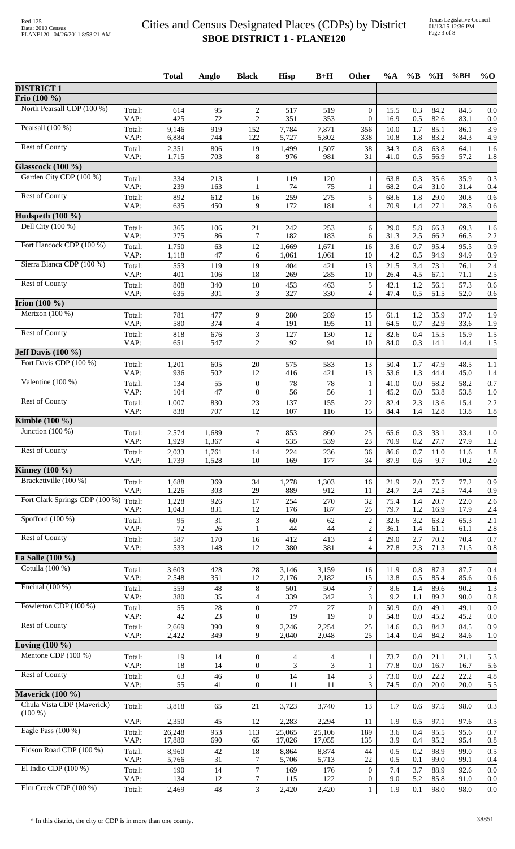|                                             |                | <b>Total</b>    | Anglo          | <b>Black</b>                     | <b>Hisp</b>     | $B+H$           | <b>Other</b>                       | $\%A$        | $\%$ B     | %H           | %BH          | $\%$ O     |
|---------------------------------------------|----------------|-----------------|----------------|----------------------------------|-----------------|-----------------|------------------------------------|--------------|------------|--------------|--------------|------------|
| <b>DISTRICT 1</b>                           |                |                 |                |                                  |                 |                 |                                    |              |            |              |              |            |
| Frio (100 %)                                |                |                 |                |                                  |                 |                 |                                    |              |            |              |              |            |
| North Pearsall CDP (100 %)                  | Total:<br>VAP: | 614<br>425      | 95<br>72       | 2<br>$\overline{c}$              | 517<br>351      | 519<br>353      | $\overline{0}$<br>$\boldsymbol{0}$ | 15.5<br>16.9 | 0.3<br>0.5 | 84.2<br>82.6 | 84.5<br>83.1 | 0.0<br>0.0 |
| Pearsall $(100\%)$                          | Total:<br>VAP: | 9,146<br>6,884  | 919<br>744     | 152<br>122                       | 7,784<br>5,727  | 7,871<br>5,802  | 356<br>338                         | 10.0<br>10.8 | 1.7<br>1.8 | 85.1<br>83.2 | 86.1<br>84.3 | 3.9<br>4.9 |
| <b>Rest of County</b>                       | Total:         | 2,351           | 806            | 19                               | 1,499           | 1,507           | 38                                 | 34.3         | 0.8        | 63.8         | 64.1         | 1.6        |
|                                             | VAP:           | 1,715           | 703            | 8                                | 976             | 981             | 31                                 | 41.0         | 0.5        | 56.9         | 57.2         | 1.8        |
| <b>Glasscock (100 %)</b>                    |                |                 |                |                                  |                 |                 |                                    |              |            |              |              |            |
| Garden City CDP (100 %)                     | Total:<br>VAP: | 334<br>239      | 213<br>163     | $\mathbf{1}$<br>$\mathbf{1}$     | 119<br>74       | 120<br>75       | 1<br>1                             | 63.8<br>68.2 | 0.3<br>0.4 | 35.6<br>31.0 | 35.9<br>31.4 | 0.3<br>0.4 |
| <b>Rest of County</b>                       | Total:<br>VAP: | 892<br>635      | 612<br>450     | 16<br>9                          | 259<br>172      | 275<br>181      | 5<br>4                             | 68.6<br>70.9 | 1.8<br>1.4 | 29.0<br>27.1 | 30.8<br>28.5 | 0.6<br>0.6 |
| Hudspeth $(100\%$                           |                |                 |                |                                  |                 |                 |                                    |              |            |              |              |            |
| Dell City $(100\%)$                         | Total:         | 365             | 106            | 21                               | 242             | 253             | 6                                  | 29.0         | 5.8        | 66.3         | 69.3         | 1.6        |
|                                             | VAP:           | 275             | 86             | 7                                | 182             | 183             | 6                                  | 31.3         | 2.5        | 66.2         | 66.5         | 2.2        |
| Fort Hancock CDP (100 %)                    | Total:         | 1,750           | 63             | 12                               | 1,669           | 1,671           | 16                                 | 3.6          | 0.7        | 95.4         | 95.5         | 0.9        |
| Sierra Blanca CDP (100 %)                   | VAP:           | 1,118           | 47             | 6                                | 1,061           | 1,061           | 10                                 | 4.2          | 0.5        | 94.9         | 94.9         | 0.9        |
|                                             | Total:<br>VAP: | 553<br>401      | 119<br>106     | 19<br>18                         | 404<br>269      | 421<br>285      | 13<br>10                           | 21.5<br>26.4 | 3.4<br>4.5 | 73.1<br>67.1 | 76.1<br>71.1 | 2.4<br>2.5 |
| <b>Rest of County</b>                       | Total:         | 808             | 340            | $10\,$                           | 453             | 463             | 5                                  | 42.1         | 1.2        | 56.1         | 57.3         | 0.6        |
|                                             | VAP:           | 635             | 301            | 3                                | 327             | 330             | 4                                  | 47.4         | 0.5        | 51.5         | 52.0         | 0.6        |
| <b>Irion</b> $(100\%)$<br>Mertzon $(100\%)$ |                |                 |                |                                  |                 |                 |                                    |              |            |              |              |            |
|                                             | Total:<br>VAP: | 781<br>580      | 477<br>374     | 9<br>$\overline{4}$              | 280<br>191      | 289<br>195      | 15<br>11                           | 61.1<br>64.5 | 1.2<br>0.7 | 35.9<br>32.9 | 37.0<br>33.6 | 1.9<br>1.9 |
| <b>Rest of County</b>                       | Total:         | 818             | 676            | $\ensuremath{\mathfrak{Z}}$      | 127             | 130             | 12                                 | 82.6         | 0.4        | 15.5         | 15.9         | 1.5        |
| Jeff Davis (100 %)                          | VAP:           | 651             | 547            | $\overline{2}$                   | 92              | 94              | 10                                 | 84.0         | 0.3        | 14.1         | 14.4         | 1.5        |
| Fort Davis CDP (100 %)                      | Total:         | 1,201           | 605            | 20                               | 575             | 583             | 13                                 | 50.4         | 1.7        | 47.9         | 48.5         | 1.1        |
|                                             | VAP:           | 936             | 502            | 12                               | 416             | 421             | 13                                 | 53.6         | 1.3        | 44.4         | 45.0         | 1.4        |
| Valentine $(100\%)$                         | Total:         | 134             | 55             | $\boldsymbol{0}$                 | 78              | 78              | $\mathbf{1}$                       | 41.0         | 0.0        | 58.2         | 58.2         | 0.7        |
|                                             | VAP:           | 104             | 47             | $\boldsymbol{0}$                 | 56              | 56              | 1                                  | 45.2         | 0.0        | 53.8         | 53.8         | 1.0        |
| <b>Rest of County</b>                       | Total:<br>VAP: | 1,007<br>838    | 830<br>707     | 23<br>12                         | 137<br>107      | 155<br>116      | 22<br>15                           | 82.4<br>84.4 | 2.3<br>1.4 | 13.6<br>12.8 | 15.4<br>13.8 | 2.2<br>1.8 |
| <b>Kimble</b> (100 %)                       |                |                 |                |                                  |                 |                 |                                    |              |            |              |              |            |
| Junction $(100\%)$                          | Total:         | 2,574           | 1,689          | 7                                | 853             | 860             | 25                                 | 65.6         | 0.3        | 33.1         | 33.4         | 1.0        |
|                                             | VAP:           | 1,929           | 1,367          | $\overline{4}$                   | 535             | 539             | 23                                 | 70.9         | 0.2        | 27.7         | 27.9         | 1.2        |
| <b>Rest of County</b>                       | Total:<br>VAP: | 2,033<br>1,739  | 1,761<br>1,528 | 14<br>10                         | 224<br>169      | 236<br>177      | 36<br>34                           | 86.6<br>87.9 | 0.7<br>0.6 | 11.0<br>9.7  | 11.6<br>10.2 | 1.8<br>2.0 |
| Kinney $(100\%$                             |                |                 |                |                                  |                 |                 |                                    |              |            |              |              |            |
| Brackettville (100 %)                       | Total:         | 1,688           | 369            | 34                               | 1,278           | 1,303           | 16                                 | 21.9         | 2.0        | 75.7         | 77.2         | 0.9        |
|                                             | VAP:           | 1,226           | 303            | 29                               | 889             | 912             | 11                                 | 24.7         | 2.4        | 72.5         | 74.4         | 0.9        |
| Fort Clark Springs CDP (100 %) Total:       | VAP:           | 1,228<br>1,043  | 926<br>831     | 17<br>12                         | 254<br>176      | 270<br>187      | 32<br>$25\,$                       | 75.4<br>79.7 | 1.4<br>1.2 | 20.7<br>16.9 | 22.0<br>17.9 | 2.6<br>2.4 |
| Spofford $(100\%)$                          | Total:         | 95              | 31             | 3                                | 60              | 62              | $\sqrt{2}$                         | 32.6         | 3.2        | 63.2         | 65.3         | 2.1        |
|                                             | VAP:           | 72              | 26             | -1                               | 44              | 44              | $\overline{c}$                     | 36.1         | 1.4        | 61.1         | 61.1         | 2.8        |
| <b>Rest of County</b>                       | Total:<br>VAP: | 587<br>533      | 170<br>148     | 16<br>12                         | 412<br>380      | 413<br>381      | $\overline{4}$<br>4                | 29.0<br>27.8 | 2.7<br>2.3 | 70.2<br>71.3 | 70.4<br>71.5 | 0.7<br>0.8 |
| La Salle $(100\%)$                          |                |                 |                |                                  |                 |                 |                                    |              |            |              |              |            |
| Cotulla (100 %)                             | Total:         | 3,603           | 428            | 28                               | 3,146           | 3,159           | 16                                 | 11.9         | 0.8        | 87.3         | 87.7         | 0.4        |
|                                             | VAP:           | 2,548           | 351            | 12                               | 2,176           | 2,182           | 15                                 | 13.8         | 0.5        | 85.4         | 85.6         | 0.6        |
| Encinal $(100\%)$                           | Total:<br>VAP: | 559<br>380      | $48\,$<br>35   | 8<br>$\overline{4}$              | 501<br>339      | 504<br>342      | $\boldsymbol{7}$<br>3              | 8.6<br>9.2   | 1.4<br>1.1 | 89.6<br>89.2 | 90.2<br>90.0 | 1.3<br>0.8 |
| Fowlerton CDP (100 %)                       | Total:         | 55              | $28\,$         | $\boldsymbol{0}$                 | 27              | 27              | $\boldsymbol{0}$                   | 50.9         | 0.0        | 49.1         | 49.1         | 0.0        |
|                                             | VAP:           | 42              | 23             | $\boldsymbol{0}$                 | 19              | 19              | $\overline{0}$                     | 54.8         | 0.0        | 45.2         | 45.2         | 0.0        |
| <b>Rest of County</b>                       | Total:<br>VAP: | 2,669<br>2,422  | 390<br>349     | 9<br>9                           | 2,246<br>2,040  | 2,254<br>2,048  | 25<br>25                           | 14.6<br>14.4 | 0.3<br>0.4 | 84.2<br>84.2 | 84.5<br>84.6 | 0.9<br>1.0 |
| Loving $(100\%$                             |                |                 |                |                                  |                 |                 |                                    |              |            |              |              |            |
| Mentone CDP (100 %)                         | Total:         | 19              | 14             | $\overline{0}$                   | 4               | $\overline{4}$  | $\mathbf{1}$                       | 73.7         | 0.0        | 21.1         | 21.1         | 5.3        |
|                                             | VAP:           | 18              | 14             | $\boldsymbol{0}$                 | 3               | 3               | 1                                  | 77.8         | 0.0        | 16.7         | 16.7         | 5.6        |
| <b>Rest of County</b>                       | Total:         | 63              | 46             | $\boldsymbol{0}$<br>$\mathbf{0}$ | 14<br>11        | 14<br>11        | 3<br>3                             | 73.0         | 0.0        | 22.2<br>20.0 | 22.2         | 4.8        |
| Maverick (100 %)                            | VAP:           | 55              | 41             |                                  |                 |                 |                                    | 74.5         | 0.0        |              | 20.0         | 5.5        |
| Chula Vista CDP (Maverick)                  | Total:         | 3,818           | 65             | $21\,$                           | 3,723           | 3,740           | 13                                 | 1.7          | 0.6        | 97.5         | 98.0         | 0.3        |
| $(100\%)$                                   |                |                 |                |                                  |                 |                 |                                    |              |            |              |              |            |
| Eagle Pass (100 %)                          | VAP:<br>Total: | 2,350<br>26,248 | 45<br>953      | 12<br>113                        | 2,283<br>25,065 | 2,294<br>25,106 | 11<br>189                          | 1.9<br>3.6   | 0.5<br>0.4 | 97.1<br>95.5 | 97.6<br>95.6 | 0.5<br>0.7 |
|                                             | VAP:           | 17,880          | 690            | 65                               | 17,026          | 17,055          | 135                                | 3.9          | 0.4        | 95.2         | 95.4         | 0.8        |
| Eidson Road CDP (100 %)                     | Total:         | 8,960           | $42\,$         | 18                               | 8,864           | 8,874           | $44$                               | 0.5          | 0.2        | 98.9         | 99.0         | 0.5        |
|                                             | VAP:           | 5,766           | 31             | 7                                | 5,706           | 5,713           | 22                                 | 0.5          | 0.1        | 99.0         | 99.1         | 0.4        |
| El Indio CDP $(100\%)$                      | Total:<br>VAP: | 190<br>134      | 14<br>12       | $\tau$<br>7                      | 169<br>115      | 176<br>122      | $\mathbf{0}$<br>0                  | 7.4<br>9.0   | 3.7<br>5.2 | 88.9<br>85.8 | 92.6<br>91.0 | 0.0<br>0.0 |
| Elm Creek CDP (100 %)                       | Total:         | 2,469           | 48             | 3                                | 2,420           | 2,420           | 1                                  | 1.9          | 0.1        | 98.0         | 98.0         | $0.0\,$    |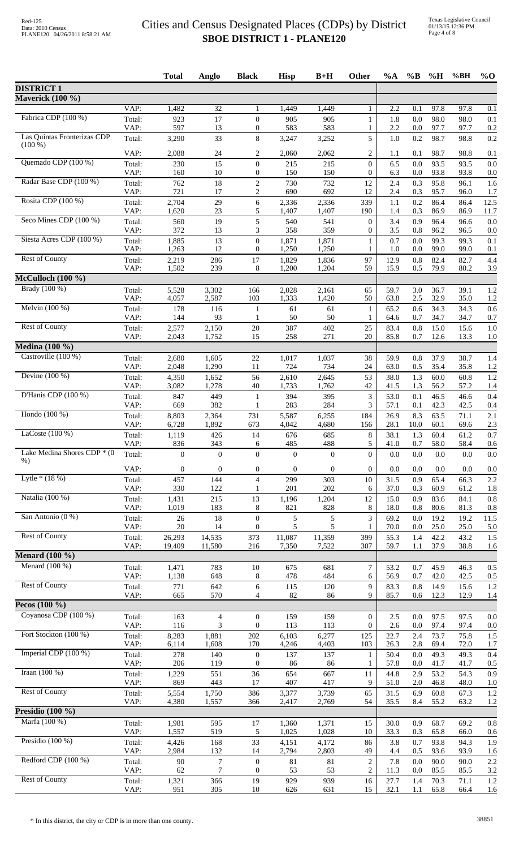|                                        |                | <b>Total</b>     | Anglo               | <b>Black</b>                     | <b>Hisp</b>      | $B+H$            | <b>Other</b>                   | $\%A$        | $\%$ B      | $\%$ H       | %BH          | $\%$ O      |
|----------------------------------------|----------------|------------------|---------------------|----------------------------------|------------------|------------------|--------------------------------|--------------|-------------|--------------|--------------|-------------|
| <b>DISTRICT 1</b>                      |                |                  |                     |                                  |                  |                  |                                |              |             |              |              |             |
| <b>Maverick</b> (100 %)                |                |                  |                     |                                  |                  |                  |                                |              |             |              |              |             |
|                                        | VAP:           | 1,482            | $\overline{32}$     | -1                               | 1,449            | 1,449            | 1                              | 2.2          | 0.1         | 97.8         | 97.8         | 0.1         |
| Fabrica CDP (100 %)                    | Total:<br>VAP: | 923<br>597       | 17<br>13            | $\theta$<br>$\mathbf{0}$         | 905<br>583       | 905<br>583       | 1<br>1                         | 1.8<br>2.2   | 0.0<br>0.0  | 98.0<br>97.7 | 98.0<br>97.7 | 0.1<br>0.2  |
| Las Quintas Fronterizas CDP            | Total:         | 3,290            | 33                  | $\,8\,$                          | 3,247            | 3,252            | 5                              | 1.0          | 0.2         | 98.7         | 98.8         | 0.2         |
| $(100\%)$                              | VAP:           | 2,088            | 24                  | 2                                | 2,060            | 2,062            | 2                              | 1.1          | 0.1         | 98.7         | 98.8         | 0.1         |
| Quemado CDP (100 %)                    | Total:         | 230              | 15                  | $\boldsymbol{0}$                 | 215              | 215              | $\overline{0}$                 | 6.5          | 0.0         | 93.5         | 93.5         | 0.0         |
|                                        | VAP:           | 160              | $10\,$              | $\mathbf{0}$                     | 150              | 150              | 0                              | 6.3          | 0.0         | 93.8         | 93.8         | 0.0         |
| Radar Base CDP (100 %)                 | Total:         | 762              | 18                  | $\sqrt{2}$                       | 730              | 732              | 12                             | 2.4          | 0.3         | 95.8         | 96.1         | 1.6         |
| Rosita CDP (100 %)                     | VAP:<br>Total: | 721<br>2,704     | $17\,$<br>29        | $\overline{c}$<br>6              | 690<br>2,336     | 692<br>2,336     | 12<br>339                      | 2.4<br>1.1   | 0.3<br>0.2  | 95.7<br>86.4 | 96.0<br>86.4 | 1.7<br>12.5 |
|                                        | VAP:           | 1,620            | 23                  | 5                                | 1,407            | 1,407            | 190                            | 1.4          | 0.3         | 86.9         | 86.9         | 11.7        |
| Seco Mines CDP (100 %)                 | Total:         | 560              | 19                  | 5                                | 540              | 541              | $\overline{0}$                 | 3.4          | 0.9         | 96.4         | 96.6         | 0.0         |
| Siesta Acres CDP (100 %)               | VAP:<br>Total: | 372<br>1,885     | 13<br>13            | 3<br>$\mathbf{0}$                | 358<br>1,871     | 359<br>1,871     | 0<br>1                         | 3.5<br>0.7   | 0.8<br>0.0  | 96.2<br>99.3 | 96.5<br>99.3 | 0.0<br>0.1  |
|                                        | VAP:           | 1,263            | 12                  | $\mathbf{0}$                     | 1,250            | 1,250            | 1                              | 1.0          | 0.0         | 99.0         | 99.0         | 0.1         |
| Rest of County                         | Total:         | 2,219            | 286                 | 17                               | 1,829            | 1,836            | 97                             | 12.9         | 0.8         | 82.4         | 82.7         | 4.4         |
| McCulloch (100 %)                      | VAP:           | 1,502            | 239                 | 8                                | 1,200            | 1,204            | 59                             | 15.9         | 0.5         | 79.9         | 80.2         | 3.9         |
| Brady (100 %)                          | Total:         | 5,528            | 3,302               | 166                              | 2,028            | 2,161            | 65                             | 59.7         | 3.0         | 36.7         | 39.1         | 1.2         |
|                                        | VAP:           | 4,057            | 2,587               | 103                              | 1,333            | 1,420            | 50                             | 63.8         | 2.5         | 32.9         | 35.0         | 1.2         |
| Melvin (100 %)                         | Total:         | 178              | 116                 | $\mathbf{1}$                     | 61               | 61               | $\mathbf{1}$                   | 65.2         | 0.6         | 34.3         | 34.3         | 0.6         |
| <b>Rest of County</b>                  | VAP:           | 144              | 93                  | 1                                | 50               | 50<br>402        | 1                              | 64.6         | 0.7         | 34.7         | 34.7         | 0.7         |
|                                        | Total:<br>VAP: | 2,577<br>2,043   | 2,150<br>1,752      | 20<br>15                         | 387<br>258       | 271              | 25<br>20                       | 83.4<br>85.8 | 0.8<br>0.7  | 15.0<br>12.6 | 15.6<br>13.3 | 1.0<br>1.0  |
| <b>Medina</b> (100 %)                  |                |                  |                     |                                  |                  |                  |                                |              |             |              |              |             |
| Castroville (100 %)                    | Total:         | 2,680            | 1,605               | 22                               | 1,017            | 1,037            | 38                             | 59.9         | 0.8         | 37.9         | 38.7         | 1.4         |
| Devine $(100\%)$                       | VAP:           | 2,048            | 1,290               | 11<br>56                         | 724              | 734<br>2,645     | 24<br>53                       | 63.0<br>38.0 | 0.5<br>1.3  | 35.4<br>60.0 | 35.8<br>60.8 | 1.2<br>1.2  |
|                                        | Total:<br>VAP: | 4,350<br>3,082   | 1,652<br>1,278      | 40                               | 2,610<br>1,733   | 1,762            | 42                             | 41.5         | 1.3         | 56.2         | 57.2         | 1.4         |
| D'Hanis CDP (100 %)                    | Total:         | 847              | 449                 | 1                                | 394              | 395              | 3                              | 53.0         | 0.1         | 46.5         | 46.6         | 0.4         |
| Hondo (100 %)                          | VAP:           | 669              | 382                 | $\mathbf{1}$                     | 283              | 284              | 3                              | 57.1         | 0.1         | 42.3         | 42.5         | 0.4         |
|                                        | Total:<br>VAP: | 8,803<br>6,728   | 2,364<br>1,892      | 731<br>673                       | 5,587<br>4,042   | 6,255<br>4,680   | 184<br>156                     | 26.9<br>28.1 | 8.3<br>10.0 | 63.5<br>60.1 | 71.1<br>69.6 | 2.1<br>2.3  |
| LaCoste $(100\%)$                      | Total:         | 1,119            | 426                 | 14                               | 676              | 685              | 8                              | 38.1         | 1.3         | 60.4         | 61.2         | 0.7         |
| Lake Medina Shores CDP * (0            | VAP:           | 836              | 343                 | 6                                | 485              | 488              | 5                              | 41.0         | 0.7         | 58.0         | 58.4         | 0.6         |
| $%$ )                                  | Total:         | $\overline{0}$   | $\overline{0}$      | $\mathbf{0}$                     | $\overline{0}$   | $\overline{0}$   | $\Omega$                       | 0.0          | 0.0         | 0.0          | 0.0          | 0.0         |
|                                        | VAP:           | $\boldsymbol{0}$ | $\mathbf{0}$        | $\boldsymbol{0}$                 | $\boldsymbol{0}$ | $\boldsymbol{0}$ | $\boldsymbol{0}$               | 0.0          | 0.0         | 0.0          | 0.0          | 0.0         |
| Lytle $*(18%)$                         | Total:<br>VAP: | 457<br>330       | 144<br>122          | $\overline{4}$<br>1              | 299<br>201       | 303<br>202       | 10<br>6                        | 31.5<br>37.0 | 0.9<br>0.3  | 65.4<br>60.9 | 66.3<br>61.2 | 2.2<br>1.8  |
| Natalia (100 %)                        | Total:         | 1,431            | 215                 | 13                               | 1,196            | 1,204            | 12                             | 15.0         | 0.9         | 83.6         | 84.1         | 0.8         |
|                                        | VAP:           | 1,019            | 183                 | 8                                | 821              | 828              | 8                              | 18.0         | 0.8         | 80.6         | 81.3         | 0.8         |
| San Antonio (0 %)                      | Total:<br>VAP: | 26<br>20         | 18<br>14            | $\overline{0}$<br>$\overline{0}$ | 5<br>5           | 5<br>5           | 3<br>1                         | 69.2<br>70.0 | 0.0<br>0.0  | 19.2<br>25.0 | 19.2<br>25.0 | 11.5<br>5.0 |
| <b>Rest of County</b>                  | Total:         | 26,293           | 14,535              | 373                              | 11,087           | 11,359           | 399                            | 55.3         | 1.4         | 42.2         | 43.2         | 1.5         |
|                                        | VAP:           | 19,409           | 11,580              | 216                              | 7,350            | 7,522            | 307                            | 59.7         | 1.1         | 37.9         | 38.8         | 1.6         |
| <b>Menard</b> (100 %)                  |                |                  |                     |                                  |                  |                  |                                |              |             |              |              |             |
| Menard (100 %)                         | Total:<br>VAP: | 1,471<br>1,138   | 783<br>648          | 10<br>8                          | 675<br>478       | 681<br>484       | $\tau$<br>6                    | 53.2<br>56.9 | 0.7<br>0.7  | 45.9<br>42.0 | 46.3<br>42.5 | 0.5<br>0.5  |
| <b>Rest of County</b>                  | Total:         | 771              | 642                 | 6                                | 115              | 120              | 9                              | 83.3         | 0.8         | 14.9         | 15.6         | 1.2         |
|                                        | VAP:           | 665              | 570                 | 4                                | 82               | 86               | 9                              | 85.7         | 0.6         | 12.3         | 12.9         | 1.4         |
| Pecos $(100\%$<br>Coyanosa CDP (100 %) |                |                  |                     |                                  |                  |                  |                                |              |             |              |              |             |
|                                        | Total:<br>VAP: | 163<br>116       | $\overline{4}$<br>3 | $\overline{0}$<br>$\theta$       | 159<br>113       | 159<br>113       | $\mathbf{0}$<br>$\overline{0}$ | 2.5<br>2.6   | 0.0<br>0.0  | 97.5<br>97.4 | 97.5<br>97.4 | 0.0<br>0.0  |
| Fort Stockton (100 %)                  | Total:         | 8,283            | 1,881               | 202                              | 6,103            | 6,277            | 125                            | 22.7         | 2.4         | 73.7         | 75.8         | 1.5         |
|                                        | VAP:           | 6,114            | 1,608               | 170                              | 4,246            | 4,403            | 103                            | 26.3         | 2.8         | 69.4         | 72.0         | 1.7         |
| Imperial CDP (100 %)                   | Total:<br>VAP: | 278<br>206       | 140<br>119          | $\mathbf{0}$<br>$\overline{0}$   | 137<br>86        | 137<br>86        | 1<br>1                         | 50.4<br>57.8 | 0.0<br>0.0  | 49.3<br>41.7 | 49.3<br>41.7 | 0.4<br>0.5  |
| Iraan $(100\%)$                        | Total:         | 1,229            | 551                 | 36                               | 654              | 667              | 11                             | 44.8         | 2.9         | 53.2         | 54.3         | 0.9         |
|                                        | VAP:           | 869              | 443                 | 17                               | 407              | 417              | 9                              | 51.0         | 2.0         | 46.8         | 48.0         | 1.0         |
| <b>Rest of County</b>                  | Total:<br>VAP: | 5,554<br>4,380   | 1,750<br>1,557      | 386<br>366                       | 3,377<br>2,417   | 3,739<br>2,769   | 65<br>54                       | 31.5<br>35.5 | 6.9<br>8.4  | 60.8<br>55.2 | 67.3<br>63.2 | 1.2<br>1.2  |
| Presidio $(100\%)$                     |                |                  |                     |                                  |                  |                  |                                |              |             |              |              |             |
| Marfa (100 %)                          | Total:         | 1,981            | 595                 | 17                               | 1,360            | 1,371            | 15                             | 30.0         | 0.9         | 68.7         | 69.2         | 0.8         |
|                                        | VAP:           | 1,557            | 519                 | 5                                | 1,025            | 1,028            | 10                             | 33.3         | 0.3         | 65.8         | 66.0         | 0.6         |
| Presidio $(100\%)$                     | Total:<br>VAP: | 4,426<br>2,984   | 168<br>132          | 33<br>14                         | 4,151<br>2,794   | 4,172<br>2,803   | 86<br>49                       | 3.8<br>4.4   | 0.7<br>0.5  | 93.8<br>93.6 | 94.3<br>93.9 | 1.9<br>1.6  |
| Redford CDP (100 %)                    | Total:         | $90\,$           | 7                   | $\boldsymbol{0}$                 | 81               | 81               | $\overline{c}$                 | 7.8          | 0.0         | 90.0         | 90.0         | 2.2         |
|                                        | VAP:           | 62               | 7                   | $\mathbf{0}$                     | 53               | 53               | $\overline{c}$                 | 11.3         | 0.0         | 85.5         | 85.5         | 3.2         |
| <b>Rest of County</b>                  | Total:<br>VAP: | 1,321<br>951     | 366<br>305          | 19<br>10                         | 929<br>626       | 939<br>631       | 16<br>15                       | 27.7<br>32.1 | 1.4<br>1.1  | 70.3<br>65.8 | 71.1<br>66.4 | 1.2<br>1.6  |
|                                        |                |                  |                     |                                  |                  |                  |                                |              |             |              |              |             |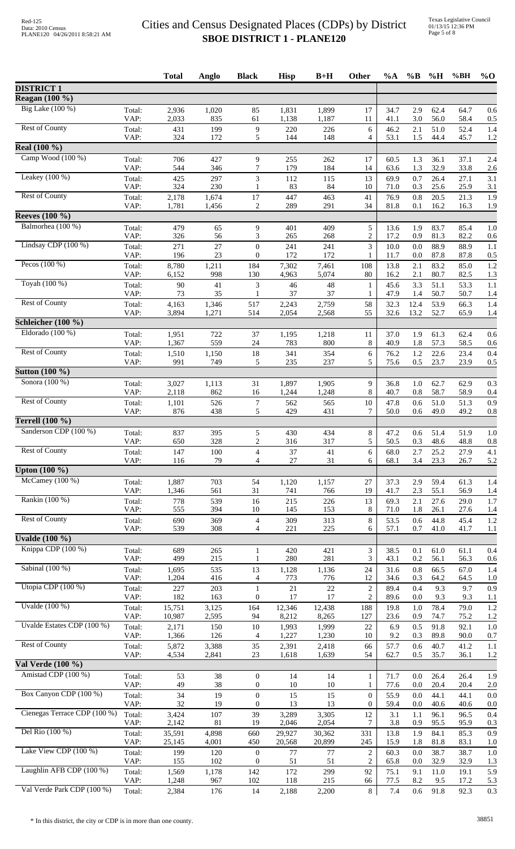|                              |                | <b>Total</b>     | Anglo          | <b>Black</b>                         | <b>Hisp</b>     | $B+H$           | Other                              | $\%A$        | $\%B$      | %H           | %BH          | $\%$ O     |
|------------------------------|----------------|------------------|----------------|--------------------------------------|-----------------|-----------------|------------------------------------|--------------|------------|--------------|--------------|------------|
| <b>DISTRICT 1</b>            |                |                  |                |                                      |                 |                 |                                    |              |            |              |              |            |
| <b>Reagan</b> (100 %)        |                |                  |                |                                      |                 |                 |                                    |              |            |              |              |            |
| Big Lake (100 %)             | Total:<br>VAP: | 2,936<br>2,033   | 1,020<br>835   | 85<br>61                             | 1,831<br>1,138  | 1,899<br>1,187  | 17<br>11                           | 34.7<br>41.1 | 2.9<br>3.0 | 62.4<br>56.0 | 64.7<br>58.4 | 0.6<br>0.5 |
| <b>Rest of County</b>        | Total:<br>VAP: | 431<br>324       | 199<br>172     | $\overline{9}$<br>5                  | 220<br>144      | 226<br>148      | 6<br>4                             | 46.2<br>53.1 | 2.1<br>1.5 | 51.0<br>44.4 | 52.4<br>45.7 | 1.4<br>1.2 |
| Real (100 %)                 |                |                  |                |                                      |                 |                 |                                    |              |            |              |              |            |
| Camp Wood (100 %)            | Total:<br>VAP: | 706<br>544       | 427<br>346     | 9<br>7                               | 255<br>179      | 262<br>184      | 17<br>14                           | 60.5<br>63.6 | 1.3<br>1.3 | 36.1<br>32.9 | 37.1<br>33.8 | 2.4<br>2.6 |
| Leakey $(100\%)$             | Total:<br>VAP: | 425<br>324       | 297<br>230     | 3<br>1                               | 112<br>83       | 115<br>84       | 13<br>10                           | 69.9<br>71.0 | 0.7<br>0.3 | 26.4<br>25.6 | 27.1<br>25.9 | 3.1<br>3.1 |
| <b>Rest of County</b>        | Total:         | 2,178            | 1,674          | $17\,$                               | 447             | 463             | 41                                 | 76.9         | 0.8        | 20.5         | 21.3         | 1.9        |
| <b>Reeves</b> (100 %)        | VAP:           | 1,781            | 1,456          | $\overline{c}$                       | 289             | 291             | 34                                 | 81.8         | 0.1        | 16.2         | 16.3         | 1.9        |
| Balmorhea (100 %)            |                |                  |                |                                      |                 |                 |                                    |              |            |              |              |            |
|                              | Total:<br>VAP: | 479<br>326       | 65<br>56       | 9<br>3                               | 401<br>265      | 409<br>268      | 5<br>$\overline{c}$                | 13.6<br>17.2 | 1.9<br>0.9 | 83.7<br>81.3 | 85.4<br>82.2 | 1.0<br>0.6 |
| Lindsay CDP $(100\%)$        | Total:<br>VAP: | 271<br>196       | 27<br>23       | $\theta$<br>$\boldsymbol{0}$         | 241<br>172      | 241<br>172      | 3<br>1                             | 10.0<br>11.7 | 0.0<br>0.0 | 88.9<br>87.8 | 88.9<br>87.8 | 1.1<br>0.5 |
| Pecos $(100\%)$              | Total:<br>VAP: | 8,780<br>6,152   | 1,211<br>998   | 184<br>130                           | 7,302<br>4,963  | 7,461<br>5,074  | 108<br>80                          | 13.8<br>16.2 | 2.1<br>2.1 | 83.2<br>80.7 | 85.0<br>82.5 | 1.2<br>1.3 |
| Toyah (100 %)                | Total:<br>VAP: | 90<br>73         | 41<br>35       | 3                                    | 46<br>37        | 48<br>37        | 1<br>1                             | 45.6<br>47.9 | 3.3<br>1.4 | 51.1<br>50.7 | 53.3<br>50.7 | 1.1<br>1.4 |
| <b>Rest of County</b>        | Total:         | 4,163            | 1,346          | 517                                  | 2,243           | 2,759           | 58                                 | 32.3         | 12.4       | 53.9         | 66.3         | 1.4        |
| Schleicher (100 %)           | VAP:           | 3,894            | 1,271          | 514                                  | 2,054           | 2,568           | 55                                 | 32.6         | 13.2       | 52.7         | 65.9         | 1.4        |
| Eldorado $(100\%)$           |                | 1,951            | 722            | 37                                   | 1,195           | 1,218           |                                    |              | 1.9        | 61.3         | 62.4         |            |
|                              | Total:<br>VAP: | 1,367            | 559            | 24                                   | 783             | 800             | 11<br>8                            | 37.0<br>40.9 | 1.8        | 57.3         | 58.5         | 0.6<br>0.6 |
| <b>Rest of County</b>        | Total:<br>VAP: | 1,510<br>991     | 1,150<br>749   | 18<br>5                              | 341<br>235      | 354<br>237      | 6<br>5                             | 76.2<br>75.6 | 1.2<br>0.5 | 22.6<br>23.7 | 23.4<br>23.9 | 0.4<br>0.5 |
| <b>Sutton (100 %)</b>        |                |                  |                |                                      |                 |                 |                                    |              |            |              |              |            |
| Sonora $(100\%)$             | Total:         | 3,027            | 1,113          | 31                                   | 1,897           | 1,905           | 9                                  | 36.8         | 1.0        | 62.7         | 62.9         | 0.3        |
| <b>Rest of County</b>        | VAP:<br>Total: | 2,118<br>1,101   | 862<br>526     | 16<br>$\overline{7}$                 | 1,244<br>562    | 1,248<br>565    | 8<br>10                            | 40.7<br>47.8 | 0.8<br>0.6 | 58.7<br>51.0 | 58.9<br>51.3 | 0.4<br>0.9 |
|                              | VAP:           | 876              | 438            | 5                                    | 429             | 431             | 7                                  | 50.0         | 0.6        | 49.0         | 49.2         | 0.8        |
| Terrell $(100\%)$            |                |                  |                |                                      |                 |                 |                                    |              |            |              |              |            |
| Sanderson CDP (100 %)        | Total:<br>VAP: | 837<br>650       | 395<br>328     | 5<br>$\overline{c}$                  | 430<br>316      | 434<br>317      | 8<br>5                             | 47.2<br>50.5 | 0.6<br>0.3 | 51.4<br>48.6 | 51.9<br>48.8 | 1.0<br>0.8 |
| <b>Rest of County</b>        | Total:<br>VAP: | 147<br>116       | 100<br>79      | 4<br>4                               | 37<br>27        | 41<br>31        | 6<br>6                             | 68.0<br>68.1 | 2.7<br>3.4 | 25.2<br>23.3 | 27.9<br>26.7 | 4.1<br>5.2 |
| Upton $(100\%$               |                |                  |                |                                      |                 |                 |                                    |              |            |              |              |            |
| $McCamey (100\%)$            | Total:         | 1,887            | 703            | 54                                   | 1,120           | 1,157           | 27                                 | 37.3         | 2.9        | 59.4         | 61.3         | 1.4        |
| Rankin (100 %)               | VAP:<br>Total: | 1,346<br>778     | 561<br>539     | 31<br>16                             | 741<br>215      | 766<br>226      | 19<br>13                           | 41.7<br>69.3 | 2.3<br>2.1 | 55.1<br>27.6 | 56.9<br>29.0 | 1.4<br>1.7 |
| <b>Rest of County</b>        | VAP:           | 555              | 394            | 10                                   | 145<br>309      | 153             | 8                                  | 71.0         | 1.8        | 26.1<br>44.8 | 27.6         | 1.4        |
|                              | Total:<br>VAP: | 690<br>539       | 369<br>308     | $\overline{4}$<br>$\overline{4}$     | 221             | 313<br>225      | $\,8\,$<br>6                       | 53.5<br>57.1 | 0.6<br>0.7 | 41.0         | 45.4<br>41.7 | 1.2<br>1.1 |
| <b>Uvalde (100 %)</b>        |                |                  |                |                                      |                 |                 |                                    |              |            |              |              |            |
| Knippa CDP (100 %)           | Total:<br>VAP: | 689<br>499       | 265<br>215     | $\mathbf{1}$<br>$\mathbf{1}$         | 420<br>280      | 421<br>281      | 3<br>3                             | 38.5<br>43.1 | 0.1<br>0.2 | 61.0<br>56.1 | 61.1<br>56.3 | 0.4<br>0.6 |
| Sabinal (100 %)              | Total:         | 1,695            | 535            | 13                                   | 1,128           | 1,136           | 24                                 | 31.6         | 0.8        | 66.5         | 67.0         | 1.4        |
| Utopia CDP (100 %)           | VAP:<br>Total: | 1,204<br>227     | 416<br>203     | 4<br>$\mathbf{1}$                    | 773<br>$21\,$   | 776<br>$22\,$   | 12<br>$\boldsymbol{2}$             | 34.6<br>89.4 | 0.3<br>0.4 | 64.2<br>9.3  | 64.5<br>9.7  | 1.0<br>0.9 |
| Uvalde (100 %)               | VAP:           | 182              | 163            | $\boldsymbol{0}$                     | 17              | 17              | $\overline{c}$                     | 89.6         | 0.0        | 9.3          | 9.3          | 1.1        |
|                              | Total:<br>VAP: | 15,751<br>10,987 | 3,125<br>2,595 | 164<br>94                            | 12,346<br>8,212 | 12,438<br>8,265 | 188<br>127                         | 19.8<br>23.6 | 1.0<br>0.9 | 78.4<br>74.7 | 79.0<br>75.2 | 1.2<br>1.2 |
| Uvalde Estates CDP (100 %)   | Total:<br>VAP: | 2,171<br>1,366   | 150<br>126     | $10\,$<br>$\overline{4}$             | 1,993<br>1,227  | 1,999<br>1,230  | 22<br>10                           | 6.9<br>9.2   | 0.5<br>0.3 | 91.8<br>89.8 | 92.1<br>90.0 | 1.0<br>0.7 |
| <b>Rest of County</b>        | Total:<br>VAP: | 5,872<br>4,534   | 3,388<br>2,841 | 35<br>23                             | 2,391<br>1,618  | 2,418<br>1,639  | 66<br>54                           | 57.7<br>62.7 | 0.6<br>0.5 | 40.7<br>35.7 | 41.2<br>36.1 | 1.1<br>1.2 |
| Val Verde $(100\%$           |                |                  |                |                                      |                 |                 |                                    |              |            |              |              |            |
| Amistad CDP (100 %)          | Total:         | 53               | 38             | $\boldsymbol{0}$                     | 14              | 14              | 1                                  | 71.7         | 0.0        | 26.4         | 26.4         | 1.9        |
|                              | VAP:           | 49               | 38             | $\boldsymbol{0}$                     | 10              | 10              | 1                                  | 77.6         | 0.0        | 20.4         | 20.4         | 2.0        |
| Box Canyon CDP (100 %)       | Total:<br>VAP: | 34<br>32         | 19<br>19       | $\boldsymbol{0}$<br>$\mathbf{0}$     | 15<br>13        | 15<br>13        | $\boldsymbol{0}$<br>$\overline{0}$ | 55.9<br>59.4 | 0.0<br>0.0 | 44.1<br>40.6 | 44.1<br>40.6 | 0.0<br>0.0 |
| Cienegas Terrace CDP (100 %) | Total:<br>VAP: | 3,424<br>2,142   | 107<br>81      | 39<br>19                             | 3,289<br>2,046  | 3,305<br>2,054  | 12<br>7                            | 3.1<br>3.8   | 1.1<br>0.9 | 96.1<br>95.5 | 96.5<br>95.9 | 0.4<br>0.3 |
| Del Rio (100 %)              | Total:         | 35,591           | 4,898          | 660                                  | 29,927          | 30,362          | 331                                | 13.8         | 1.9        | 84.1         | 85.3         | 0.9        |
| Lake View CDP (100 %)        | VAP:           | 25,145           | 4,001          | 450                                  | 20,568          | 20,899          | 245                                | 15.9         | 1.8        | 81.8         | 83.1         | 1.0        |
|                              | Total:<br>VAP: | 199<br>155       | 120<br>102     | $\boldsymbol{0}$<br>$\boldsymbol{0}$ | 77<br>51        | $77\,$<br>51    | $\sqrt{2}$<br>$\overline{c}$       | 60.3<br>65.8 | 0.0<br>0.0 | 38.7<br>32.9 | 38.7<br>32.9 | 1.0<br>1.3 |
| Laughlin AFB CDP (100 %)     | Total:<br>VAP: | 1,569<br>1,248   | 1,178<br>967   | 142<br>102                           | 172<br>118      | 299<br>215      | 92<br>66                           | 75.1<br>77.5 | 9.1<br>8.2 | 11.0<br>9.5  | 19.1<br>17.2 | 5.9<br>5.3 |
| Val Verde Park CDP (100 %)   | Total:         | 2,384            | 176            | 14                                   | 2,188           | 2,200           | 8                                  | 7.4          | 0.6        | 91.8         | 92.3         | 0.3        |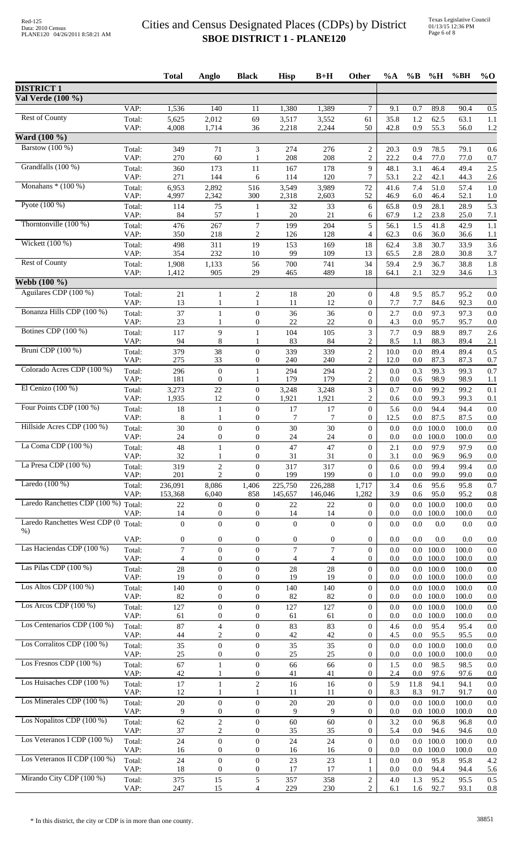|                                      |                | <b>Total</b>   | Anglo                            | <b>Black</b>                         | <b>Hisp</b>    | $B+H$          | Other                                | $\%A$        | $\%B$          | %H             | %BH            | $%$ <sup>O</sup> |
|--------------------------------------|----------------|----------------|----------------------------------|--------------------------------------|----------------|----------------|--------------------------------------|--------------|----------------|----------------|----------------|------------------|
| <b>DISTRICT 1</b>                    |                |                |                                  |                                      |                |                |                                      |              |                |                |                |                  |
| Val Verde (100 %)                    |                |                |                                  |                                      |                |                |                                      |              |                |                |                |                  |
|                                      | VAP:           | 1,536          | 140                              | 11                                   | 1,380          | 1,389          | 7                                    | 9.1          | 0.7            | 89.8           | 90.4           | 0.5              |
| <b>Rest of County</b>                | Total:         | 5,625          | 2,012                            | 69                                   | 3,517          | 3,552          | 61                                   | 35.8         | 1.2            | 62.5           | 63.1           | 1.1              |
| Ward (100 %)                         | VAP:           | 4,008          | 1,714                            | 36                                   | 2,218          | 2,244          | 50                                   | 42.8         | 0.9            | 55.3           | 56.0           | 1.2              |
| Barstow (100 %)                      | Total:         | 349            | 71                               | 3                                    | 274            | 276            | $\boldsymbol{2}$                     | 20.3         | 0.9            | 78.5           | 79.1           | 0.6              |
|                                      | VAP:           | 270            | 60                               | 1                                    | 208            | 208            | $\overline{c}$                       | 22.2         | 0.4            | 77.0           | 77.0           | 0.7              |
| Grandfalls (100 %)                   | Total:         | 360            | 173                              | 11                                   | 167            | 178            | 9                                    | 48.1         | 3.1            | 46.4           | 49.4           | 2.5              |
|                                      | VAP:           | 271            | 144                              | 6                                    | 114            | 120            | 7                                    | 53.1         | 2.2            | 42.1           | 44.3           | 2.6              |
| Monahans $*(100\%)$                  | Total:<br>VAP: | 6,953<br>4,997 | 2,892<br>2,342                   | 516<br>300                           | 3,549<br>2,318 | 3,989<br>2,603 | 72<br>52                             | 41.6<br>46.9 | 7.4<br>6.0     | 51.0<br>46.4   | 57.4<br>52.1   | 1.0<br>1.0       |
| Pyote $(100\%)$                      | Total:         | 114            | 75                               | 1                                    | 32             | 33             | 6                                    | 65.8         | 0.9            | 28.1           | 28.9           | 5.3              |
|                                      | VAP:           | 84             | 57                               | 1                                    | 20             | 21             | 6                                    | 67.9         | 1.2            | 23.8           | 25.0           | 7.1              |
| Thorntonville $(100\%)$              | Total:         | 476            | 267                              | $\tau$                               | 199            | 204            | 5                                    | 56.1         | 1.5            | 41.8           | 42.9           | 1.1              |
| Wickett (100 %)                      | VAP:           | 350            | 218                              | $\overline{c}$                       | 126            | 128            | $\overline{4}$                       | 62.3         | 0.6            | 36.0           | 36.6           | 1.1              |
|                                      | Total:<br>VAP: | 498<br>354     | 311<br>232                       | 19<br>10                             | 153<br>99      | 169<br>109     | 18<br>13                             | 62.4<br>65.5 | 3.8<br>2.8     | 30.7<br>28.0   | 33.9<br>30.8   | 3.6<br>3.7       |
| Rest of County                       | Total:         | 1,908          | 1,133                            | 56                                   | 700            | 741            | 34                                   | 59.4         | 2.9            | 36.7           | 38.8           | 1.8              |
|                                      | VAP:           | 1,412          | 905                              | 29                                   | 465            | 489            | 18                                   | 64.1         | 2.1            | 32.9           | 34.6           | 1.3              |
| Webb (100 %)                         |                |                |                                  |                                      |                |                |                                      |              |                |                |                |                  |
| Aguilares CDP (100 %)                | Total:<br>VAP: | 21<br>13       | 1                                | $\overline{c}$                       | 18<br>11       | 20<br>12       | $\boldsymbol{0}$<br>$\overline{0}$   | 4.8<br>7.7   | 9.5<br>7.7     | 85.7<br>84.6   | 95.2<br>92.3   | 0.0<br>0.0       |
| Bonanza Hills CDP (100 %)            | Total:         | 37             | 1                                | $\mathbf{0}$                         | 36             | 36             | $\mathbf{0}$                         | 2.7          | 0.0            | 97.3           | 97.3           | 0.0              |
|                                      | VAP:           | 23             |                                  | $\boldsymbol{0}$                     | 22             | 22             | $\overline{0}$                       | 4.3          | 0.0            | 95.7           | 95.7           | 0.0              |
| Botines CDP (100 %)                  | Total:         | 117            | 9                                | $\mathbf{1}$                         | 104            | 105            | 3                                    | 7.7          | 0.9            | 88.9           | 89.7           | 2.6              |
| Bruni CDP (100 %)                    | VAP:           | 94             | 8                                | 1                                    | 83             | 84             | $\overline{c}$                       | 8.5          | 1.1            | 88.3           | 89.4           | 2.1              |
|                                      | Total:<br>VAP: | 379<br>275     | 38<br>33                         | $\mathbf{0}$<br>$\boldsymbol{0}$     | 339<br>240     | 339<br>240     | $\overline{c}$<br>$\overline{c}$     | 10.0<br>12.0 | 0.0<br>0.0     | 89.4<br>87.3   | 89.4<br>87.3   | 0.5<br>0.7       |
| Colorado Acres CDP (100 %)           | Total:         | 296            | $\boldsymbol{0}$                 | $\mathbf{1}$                         | 294            | 294            | $\mathbf{2}$                         | 0.0          | 0.3            | 99.3           | 99.3           | 0.7              |
|                                      | VAP:           | 181            | $\overline{0}$                   | 1                                    | 179            | 179            | $\overline{c}$                       | 0.0          | 0.6            | 98.9           | 98.9           | 1.1              |
| El Cenizo $(100\%)$                  | Total:         | 3,273          | $22\,$                           | $\boldsymbol{0}$                     | 3,248          | 3,248          | 3                                    | 0.7          | 0.0            | 99.2           | 99.2           | 0.1              |
| Four Points CDP (100 %)              | VAP:           | 1,935<br>18    | 12                               | $\boldsymbol{0}$                     | 1,921<br>17    | 1,921          | $\overline{c}$                       | 0.6          | 0.0            | 99.3<br>94.4   | 99.3           | 0.1              |
|                                      | Total:<br>VAP: | 8              | 1<br>1                           | $\boldsymbol{0}$<br>$\boldsymbol{0}$ | 7              | 17<br>$\tau$   | $\boldsymbol{0}$<br>$\overline{0}$   | 5.6<br>12.5  | 0.0<br>0.0     | 87.5           | 94.4<br>87.5   | 0.0<br>0.0       |
| Hillside Acres CDP (100 %)           | Total:         | 30             | $\mathbf{0}$                     | $\mathbf{0}$                         | 30             | 30             | $\overline{0}$                       | 0.0          | 0.0            | 100.0          | 100.0          | 0.0              |
|                                      | VAP:           | 24             | 0                                | $\overline{0}$                       | 24             | 24             | $\boldsymbol{0}$                     | 0.0          | 0.0            | 100.0          | 100.0          | 0.0              |
| La Coma CDP (100 %)                  | Total:<br>VAP: | 48<br>32       | 1<br>1                           | $\Omega$<br>0                        | 47<br>31       | 47<br>31       | $\boldsymbol{0}$<br>$\boldsymbol{0}$ | 2.1<br>3.1   | $0.0\,$<br>0.0 | 97.9<br>96.9   | 97.9<br>96.9   | 0.0<br>0.0       |
| La Presa CDP (100 %)                 | Total:         | 319            | $\overline{c}$                   | $\overline{0}$                       | 317            | 317            | $\overline{0}$                       | 0.6          | 0.0            | 99.4           | 99.4           | 0.0              |
|                                      | VAP:           | 201            | $\overline{2}$                   | $\mathbf{0}$                         | 199            | 199            | $\Omega$                             | 1.0          | 0.0            | 99.0           | 99.0           | 0.0              |
| Laredo $(100\%)$                     | Total:         | 236,091        | 8,086                            | 1,406                                | 225,750        | 226,288        | 1,717                                | 3.4          | 0.6            | 95.6           | 95.8           | 0.7              |
| Laredo Ranchettes CDP (100 %) Total: | VAP:           | 153,368        | 6,040                            | 858                                  | 145,657        | 146,046        | 1,282                                | 3.9          | 0.6            | 95.0           | 95.2           | 0.8              |
|                                      | VAP:           | 22<br>14       | $\mathbf{0}$<br>$\overline{0}$   | $\boldsymbol{0}$<br>$\overline{0}$   | 22<br>14       | 22<br>14       | $\boldsymbol{0}$<br>$\boldsymbol{0}$ | 0.0<br>0.0   | 0.0<br>0.0     | 100.0<br>100.0 | 100.0<br>100.0 | 0.0<br>0.0       |
| Laredo Ranchettes West CDP (0        | Total:         | $\mathbf{0}$   | $\overline{0}$                   | $\mathbf{0}$                         | $\theta$       | $\overline{0}$ | $\overline{0}$                       | 0.0          | 0.0            | 0.0            | 0.0            | 0.0              |
| $%$ )                                | VAP:           | $\mathbf{0}$   | 0                                | $\mathbf{0}$                         | $\mathbf{0}$   | $\mathbf{0}$   | $\mathbf{0}$                         | 0.0          | 0.0            | 0.0            | 0.0            | 0.0              |
| Las Haciendas CDP (100 %)            | Total:         | $\tau$         | $\overline{0}$                   | $\boldsymbol{0}$                     | $\tau$         | $\tau$         | $\overline{0}$                       | 0.0          | 0.0            | 100.0          | 100.0          | 0.0              |
|                                      | VAP:           | 4              | 0                                | $\overline{0}$                       | 4              | 4              | $\overline{0}$                       | 0.0          | 0.0            | 100.0          | 100.0          | 0.0              |
| Las Pilas CDP (100 %)                | Total:         | 28             | $\boldsymbol{0}$                 | $\boldsymbol{0}$                     | 28             | 28             | $\overline{0}$                       | 0.0          | 0.0            | 100.0          | 100.0          | 0.0              |
| Los Altos CDP $(100\%)$              | VAP:           | 19             | $\overline{0}$                   | $\mathbf{0}$                         | 19             | 19             | $\overline{0}$                       | 0.0          | 0.0            | 100.0          | 100.0          | 0.0              |
|                                      | Total:<br>VAP: | 140<br>82      | $\boldsymbol{0}$<br>0            | $\boldsymbol{0}$<br>$\mathbf{0}$     | 140<br>82      | 140<br>82      | $\boldsymbol{0}$<br>$\overline{0}$   | 0.0<br>0.0   | 0.0<br>0.0     | 100.0<br>100.0 | 100.0<br>100.0 | 0.0<br>0.0       |
| Los Arcos CDP $(100\%)$              | Total:         | 127            | $\boldsymbol{0}$                 | $\boldsymbol{0}$                     | 127            | 127            | $\overline{0}$                       | 0.0          |                | $0.0$ 100.0    | 100.0          | 0.0              |
|                                      | VAP:           | 61             | 0                                | $\boldsymbol{0}$                     | 61             | 61             | $\overline{0}$                       | 0.0          | 0.0            | 100.0          | 100.0          | 0.0              |
| Los Centenarios CDP (100 %)          | Total:         | 87             | $\overline{4}$<br>2              | $\boldsymbol{0}$<br>$\boldsymbol{0}$ | 83<br>42       | 83<br>42       | $\overline{0}$<br>$\overline{0}$     | 4.6<br>4.5   | 0.0<br>0.0     | 95.4           | 95.4           | 0.0              |
| Los Corralitos CDP (100 %)           | VAP:<br>Total: | 44<br>35       | $\overline{0}$                   | $\overline{0}$                       | 35             | 35             | $\overline{0}$                       | 0.0          | 0.0            | 95.5<br>100.0  | 95.5<br>100.0  | 0.0<br>0.0       |
|                                      | VAP:           | 25             | $\boldsymbol{0}$                 | $\overline{0}$                       | 25             | 25             | $\overline{0}$                       | 0.0          | $0.0\,$        | 100.0          | 100.0          | 0.0              |
| Los Fresnos CDP $(100\%)$            | Total:         | 67             | $\mathbf{1}$                     | $\boldsymbol{0}$                     | 66             | 66             | $\overline{0}$                       | 1.5          | 0.0            | 98.5           | 98.5           | 0.0              |
| Los Huisaches CDP $(100\%)$          | VAP:           | 42             | 1                                | 0                                    | 41             | 41             | $\overline{0}$                       | 2.4          | 0.0            | 97.6           | 97.6           | $_{\rm 0.0}$     |
|                                      | Total:<br>VAP: | 17<br>12       | 1                                | $\overline{c}$                       | 16<br>11       | 16<br>11       | $\boldsymbol{0}$<br>$\overline{0}$   | 5.9<br>8.3   | 11.8<br>8.3    | 94.1<br>91.7   | 94.1<br>91.7   | 0.0<br>0.0       |
| Los Minerales CDP (100 %)            | Total:         | $20\,$         | $\mathbf{0}$                     | $\mathbf{0}$                         | $20\,$         | $20\,$         | $\mathbf{0}$                         | 0.0          | 0.0            | 100.0          | 100.0          | 0.0              |
|                                      | VAP:           | 9              | 0                                | $\boldsymbol{0}$                     | 9              | 9              | $\overline{0}$                       | 0.0          | 0.0            | 100.0          | 100.0          | 0.0              |
| Los Nopalitos CDP (100 %)            | Total:         | 62             | $\overline{c}$                   | $\boldsymbol{0}$                     | 60             | 60             | $\overline{0}$                       | 3.2          | 0.0            | 96.8           | 96.8           | 0.0              |
| Los Veteranos I CDP (100 %)          | VAP:<br>Total: | 37<br>24       | $\overline{c}$<br>$\overline{0}$ | $\boldsymbol{0}$<br>$\mathbf{0}$     | 35<br>24       | 35<br>24       | $\overline{0}$<br>$\overline{0}$     | 5.4<br>0.0   | 0.0<br>0.0     | 94.6<br>100.0  | 94.6<br>100.0  | 0.0<br>0.0       |
|                                      | VAP:           | 16             | $\overline{0}$                   | $\boldsymbol{0}$                     | 16             | 16             | $\boldsymbol{0}$                     | 0.0          | $0.0\,$        | 100.0          | 100.0          | 0.0              |
| Los Veteranos II CDP (100 %)         | Total:         | 24             | $\mathbf{0}$                     | $\boldsymbol{0}$                     | 23             | 23             | 1                                    | 0.0          | 0.0            | 95.8           | 95.8           | 4.2              |
|                                      | VAP:           | 18             | $\overline{0}$                   | $\mathbf{0}$                         | 17             | 17             | 1                                    | 0.0          | 0.0            | 94.4           | 94.4           | 5.6              |
| Mirando City CDP (100 %)             | Total:<br>VAP: | 375<br>247     | 15<br>15                         | 5<br>$\overline{4}$                  | 357<br>229     | 358<br>230     | $\overline{c}$<br>$\overline{2}$     | 4.0<br>6.1   | 1.3<br>1.6     | 95.2<br>92.7   | 95.5<br>93.1   | 0.5<br>0.8       |
|                                      |                |                |                                  |                                      |                |                |                                      |              |                |                |                |                  |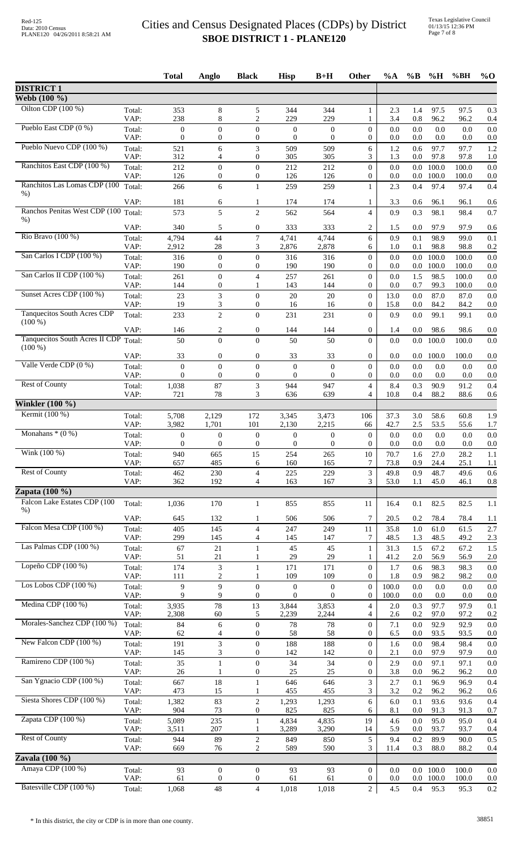|                                                 |                | <b>Total</b>            | Anglo                                | <b>Black</b>                         | <b>Hisp</b>             | $B+H$               | Other                            | %A           | $\%B$          | %H            | %BH            | $%$ <sup>O</sup> |
|-------------------------------------------------|----------------|-------------------------|--------------------------------------|--------------------------------------|-------------------------|---------------------|----------------------------------|--------------|----------------|---------------|----------------|------------------|
| <b>DISTRICT 1</b>                               |                |                         |                                      |                                      |                         |                     |                                  |              |                |               |                |                  |
| Webb (100 %)                                    |                |                         |                                      |                                      |                         |                     |                                  |              |                |               |                |                  |
| Oilton CDP (100 %)                              | Total:<br>VAP: | 353<br>238              | 8<br>8                               | 5<br>$\overline{2}$                  | 344<br>229              | 344<br>229          | $\mathbf{1}$<br>1                | 2.3<br>3.4   | 1.4<br>$0.8\,$ | 97.5<br>96.2  | 97.5<br>96.2   | 0.3<br>0.4       |
| Pueblo East CDP (0 %)                           | Total:         | $\mathbf{0}$            | $\overline{0}$                       | $\overline{0}$                       | $\theta$                | $\mathbf{0}$        | $\overline{0}$                   | 0.0          | 0.0            | 0.0           | 0.0            | 0.0              |
|                                                 | VAP:           | $\boldsymbol{0}$        | $\boldsymbol{0}$                     | $\boldsymbol{0}$                     | $\theta$                | $\boldsymbol{0}$    | 0                                | 0.0          | 0.0            | 0.0           | 0.0            | 0.0              |
| Pueblo Nuevo CDP (100 %)                        | Total:         | 521                     | 6                                    | 3                                    | 509                     | 509                 | 6                                | 1.2          | 0.6            | 97.7          | 97.7           | 1.2              |
| Ranchitos East CDP (100 %)                      | VAP:<br>Total: | 312<br>212              | 4<br>$\overline{0}$                  | $\mathbf{0}$<br>$\boldsymbol{0}$     | 305<br>212              | 305<br>212          | 3<br>$\overline{0}$              | 1.3<br>0.0   | 0.0<br>$0.0\,$ | 97.8<br>100.0 | 97.8<br>100.0  | 1.0<br>0.0       |
|                                                 | VAP:           | 126                     | $\boldsymbol{0}$                     | $\boldsymbol{0}$                     | 126                     | 126                 | 0                                | 0.0          | 0.0            | 100.0         | 100.0          | 0.0              |
| Ranchitos Las Lomas CDP (100<br>$%$ )           | Total:         | 266                     | 6                                    | $\mathbf{1}$                         | 259                     | 259                 | 1                                | 2.3          | 0.4            | 97.4          | 97.4           | 0.4              |
| Ranchos Penitas West CDP (100 Total:            | VAP:           | 181                     | 6                                    | 1                                    | 174                     | 174                 | 1                                | 3.3          | 0.6            | 96.1          | 96.1           | 0.6              |
| $%$ )                                           |                | 573                     | 5                                    | $\overline{c}$                       | 562                     | 564                 | $\overline{4}$                   | 0.9          | 0.3            | 98.1          | 98.4           | 0.7              |
|                                                 | VAP:           | 340                     | 5                                    | $\boldsymbol{0}$                     | 333                     | 333                 | $\overline{c}$                   | 1.5          | 0.0            | 97.9          | 97.9           | 0.6              |
| Rio Bravo (100 %)                               | Total:<br>VAP: | 4,794<br>2,912          | 44<br>28                             | 7<br>3                               | 4,741<br>2,876          | 4,744<br>2,878      | 6<br>6                           | 0.9<br>1.0   | 0.1<br>0.1     | 98.9<br>98.8  | 99.0<br>98.8   | 0.1<br>0.2       |
| San Carlos I CDP (100 %)                        | Total:         | 316                     | $\boldsymbol{0}$                     | $\boldsymbol{0}$                     | 316                     | 316                 | $\boldsymbol{0}$                 | 0.0          | $0.0\,$        | 100.0         | 100.0          | 0.0              |
|                                                 | VAP:           | 190                     | $\mathbf{0}$                         | $\boldsymbol{0}$                     | 190                     | 190                 | $\overline{0}$                   | 0.0          | 0.0            | 100.0         | 100.0          | 0.0              |
| San Carlos II CDP (100 %)                       | Total:<br>VAP: | 261<br>144              | $\boldsymbol{0}$<br>$\boldsymbol{0}$ | $\overline{4}$<br>$\mathbf{1}$       | 257<br>143              | 261<br>144          | $\overline{0}$<br>$\overline{0}$ | 0.0<br>0.0   | 1.5<br>0.7     | 98.5<br>99.3  | 100.0<br>100.0 | 0.0<br>0.0       |
| Sunset Acres CDP (100 %)                        | Total:         | 23                      | 3                                    | $\theta$                             | 20                      | 20                  | $\overline{0}$                   | 13.0         | 0.0            | 87.0          | 87.0           | 0.0              |
|                                                 | VAP:           | 19                      | 3                                    | $\boldsymbol{0}$                     | 16                      | 16                  | $\boldsymbol{0}$                 | 15.8         | 0.0            | 84.2          | 84.2           | 0.0              |
| <b>Tanquecitos South Acres CDP</b><br>$(100\%)$ | Total:         | 233                     | $\overline{2}$                       | $\mathbf{0}$                         | 231                     | 231                 | $\overline{0}$                   | 0.9          | 0.0            | 99.1          | 99.1           | 0.0              |
|                                                 | VAP:           | 146                     | 2                                    | $\boldsymbol{0}$                     | 144                     | 144                 | 0                                | 1.4          | 0.0            | 98.6          | 98.6           | 0.0              |
| Tanquecitos South Acres II CDP Total:           |                | 50                      | $\theta$                             | $\boldsymbol{0}$                     | 50                      | 50                  | $\overline{0}$                   | 0.0          | 0.0            | 100.0         | 100.0          | 0.0              |
| $(100\%)$                                       | VAP:           | 33                      | $\boldsymbol{0}$                     | $\boldsymbol{0}$                     | 33                      | 33                  | 0                                | 0.0          | 0.0            | 100.0         | 100.0          | 0.0              |
| Valle Verde CDP (0 %)                           | Total:         | $\overline{0}$          | $\overline{0}$                       | $\overline{0}$                       | $\overline{0}$          | $\mathbf{0}$        | $\overline{0}$                   | 0.0          | 0.0            | 0.0           | 0.0            | 0.0              |
|                                                 | VAP:           | $\mathbf{0}$            | $\mathbf{0}$                         | $\boldsymbol{0}$                     | $\theta$                | $\mathbf{0}$        | $\overline{0}$                   | 0.0          | 0.0            | 0.0           | 0.0            | 0.0              |
| <b>Rest of County</b>                           | Total:         | 1,038<br>721            | 87<br>78                             | $\ensuremath{\mathfrak{Z}}$<br>3     | 944<br>636              | 947<br>639          | $\overline{4}$<br>4              | 8.4<br>10.8  | 0.3<br>0.4     | 90.9<br>88.2  | 91.2           | 0.4              |
| Winkler $(100 \%)$                              | VAP:           |                         |                                      |                                      |                         |                     |                                  |              |                |               | 88.6           | 0.6              |
| Kermit (100 %)                                  | Total:         | 5,708                   | 2,129                                | 172                                  | 3,345                   | 3,473               | 106                              | 37.3         | 3.0            | 58.6          | 60.8           | 1.9              |
|                                                 | VAP:           | 3,982                   | 1,701                                | 101                                  | 2,130                   | 2,215               | 66                               | 42.7         | $2.5\,$        | 53.5          | 55.6           | 1.7              |
| Monahans $*(0\%)$                               | Total:         | $\boldsymbol{0}$        | $\boldsymbol{0}$                     | $\boldsymbol{0}$                     | $\boldsymbol{0}$        | $\mathbf{0}$        | $\boldsymbol{0}$                 | 0.0          | 0.0            | 0.0           | 0.0            | 0.0              |
| Wink (100 %)                                    | VAP:<br>Total: | $\boldsymbol{0}$<br>940 | $\boldsymbol{0}$<br>665              | $\boldsymbol{0}$<br>15               | $\boldsymbol{0}$<br>254 | $\mathbf{0}$<br>265 | $\overline{0}$<br>10             | 0.0<br>70.7  | 0.0<br>1.6     | 0.0<br>27.0   | 0.0<br>28.2    | 0.0<br>1.1       |
|                                                 | VAP:           | 657                     | 485                                  | 6                                    | 160                     | 165                 | 7                                | 73.8         | 0.9            | 24.4          | 25.1           | 1.1              |
| <b>Rest of County</b>                           | Total:         | 462                     | 230                                  | $\overline{4}$                       | 225                     | 229                 | 3                                | 49.8         | 0.9            | 48.7          | 49.6           | 0.6              |
| Zapata $(100\%$                                 | VAP:           | 362                     | 192                                  | $\overline{4}$                       | 163                     | 167                 | 3                                | 53.0         | 1.1            | 45.0          | 46.1           | 0.8              |
| Falcon Lake Estates CDP (100                    | Total:         | 1,036                   | 170                                  | 1                                    | 855                     | 855                 | 11                               | 16.4         | 0.1            | 82.5          | 82.5           | 1.1              |
| $%$ )                                           |                |                         |                                      |                                      |                         |                     |                                  |              |                |               |                |                  |
| Falcon Mesa CDP (100 %)                         | VAP:           | 645                     | 132                                  | 1                                    | 506                     | 506                 | 7                                | 20.5         | 0.2            | 78.4          | 78.4           | 1.1              |
|                                                 | Total:<br>VAP: | 405<br>299              | 145<br>145                           | $\overline{4}$<br>$\overline{4}$     | 247<br>145              | 249<br>147          | 11<br>7                          | 35.8<br>48.5 | 1.0<br>1.3     | 61.0<br>48.5  | 61.5<br>49.2   | 2.7<br>2.3       |
| Las Palmas CDP (100 %)                          | Total:         | 67                      | 21                                   | $\mathbf{1}$                         | 45                      | 45                  | $\mathbf{1}$                     | 31.3         | 1.5            | 67.2          | 67.2           | 1.5              |
| Lopeño CDP (100 %)                              | VAP:           | 51                      | 21                                   | 1                                    | 29                      | 29                  | 1                                | 41.2         | 2.0            | 56.9          | 56.9           | 2.0              |
|                                                 | Total:<br>VAP: | 174<br>111              | $\ensuremath{\mathfrak{Z}}$<br>2     | $\mathbf{1}$<br>1                    | 171<br>109              | 171<br>109          | $\boldsymbol{0}$<br>0            | 1.7<br>1.8   | 0.6<br>0.9     | 98.3<br>98.2  | 98.3<br>98.2   | 0.0<br>0.0       |
| Los Lobos CDP $(100\%)$                         | Total:         | 9                       | $\overline{9}$                       | $\boldsymbol{0}$                     | $\boldsymbol{0}$        | $\mathbf{0}$        | $\overline{0}$                   | 100.0        | 0.0            | 0.0           | 0.0            | 0.0              |
|                                                 | VAP:           | 9                       | 9                                    | $\boldsymbol{0}$                     | $\mathbf{0}$            | $\theta$            | $\boldsymbol{0}$                 | 100.0        | 0.0            | 0.0           | 0.0            | 0.0              |
| Medina CDP (100 %)                              | Total:<br>VAP: | 3,935<br>2,308          | 78<br>60                             | 13<br>5                              | 3,844<br>2,239          | 3,853<br>2,244      | 4<br>4                           | 2.0<br>2.6   | 0.3<br>0.2     | 97.7<br>97.0  | 97.9<br>97.2   | 0.1<br>0.2       |
| Morales-Sanchez CDP (100 %)                     | Total:         | 84                      | 6                                    | $\overline{0}$                       | 78                      | 78                  | $\overline{0}$                   | 7.1          | 0.0            | 92.9          | 92.9           | 0.0              |
|                                                 | VAP:           | 62                      | 4                                    | $\boldsymbol{0}$                     | 58                      | 58                  | $\boldsymbol{0}$                 | 6.5          | 0.0            | 93.5          | 93.5           | 0.0              |
| New Falcon CDP (100 %)                          | Total:         | 191                     | 3                                    | $\boldsymbol{0}$                     | 188                     | 188                 | $\overline{0}$                   | 1.6          | 0.0            | 98.4          | 98.4           | 0.0              |
| Ramireno CDP (100 %)                            | VAP:           | 145<br>35               | 3                                    | $\boldsymbol{0}$<br>$\boldsymbol{0}$ | 142<br>34               | 142<br>34           | 0<br>$\mathbf{0}$                | 2.1<br>2.9   | 0.0<br>0.0     | 97.9<br>97.1  | 97.9<br>97.1   | 0.0<br>0.0       |
|                                                 | Total:<br>VAP: | 26                      | 1                                    | $\boldsymbol{0}$                     | 25                      | 25                  | 0                                | 3.8          | 0.0            | 96.2          | 96.2           | 0.0              |
| San Ygnacio CDP (100 %)                         | Total:         | 667                     | 18                                   | $\mathbf{1}$                         | 646                     | 646                 | 3                                | 2.7          | 0.1            | 96.9          | 96.9           | 0.4              |
| Siesta Shores CDP (100 %)                       | VAP:           | 473                     | 15                                   |                                      | 455                     | 455                 | 3                                | 3.2          | 0.2            | 96.2          | 96.2           | 0.6              |
|                                                 | Total:<br>VAP: | 1,382<br>904            | 83<br>73                             | $\mathbf{2}$<br>$\boldsymbol{0}$     | 1,293<br>825            | 1,293<br>825        | 6<br>6                           | 6.0<br>8.1   | 0.1<br>0.0     | 93.6<br>91.3  | 93.6<br>91.3   | 0.4<br>0.7       |
| Zapata CDP (100 %)                              | Total:         | 5,089                   | 235                                  | $\mathbf{1}$                         | 4,834                   | 4,835               | 19                               | 4.6          | 0.0            | 95.0          | 95.0           | 0.4              |
|                                                 | VAP:           | 3,511                   | 207                                  | $\mathbf{1}$                         | 3,289                   | 3,290               | 14                               | 5.9          | 0.0            | 93.7          | 93.7           | 0.4              |
| <b>Rest of County</b>                           | Total:         | 944                     | 89                                   | $\mathbf{2}$                         | 849                     | 850                 | 5                                | 9.4          | 0.2            | 89.9          | 90.0           | 0.5              |
| Zavala $(100\%)$                                | VAP:           | 669                     | 76                                   | $\overline{c}$                       | 589                     | 590                 | 3                                | 11.4         | 0.3            | 88.0          | 88.2           | 0.4              |
| Amaya CDP (100 %)                               | Total:         | 93                      | $\boldsymbol{0}$                     | $\boldsymbol{0}$                     | 93                      | 93                  | $\overline{0}$                   | 0.0          |                | $0.0$ 100.0   | 100.0          | 0.0              |
|                                                 | VAP:           | 61                      | $\boldsymbol{0}$                     | $\boldsymbol{0}$                     | 61                      | 61                  | $\overline{0}$                   | 0.0          | $0.0\,$        | 100.0         | 100.0          | 0.0              |
| Batesville CDP (100 %)                          | Total:         | 1,068                   | 48                                   | $\overline{4}$                       | 1,018                   | 1,018               | $\overline{c}$                   | 4.5          | 0.4            | 95.3          | 95.3           | 0.2              |